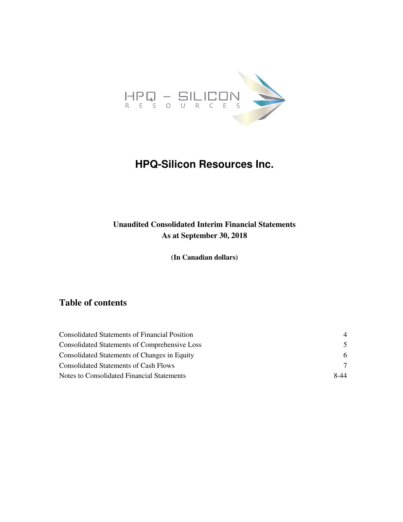

# **HPQ-Silicon Resources Inc.**

### **Unaudited Consolidated Interim Financial Statements As at September 30, 2018**

**(In Canadian dollars)** 

### **Table of contents**

| Consolidated Statements of Financial Position | $\overline{4}$ |
|-----------------------------------------------|----------------|
| Consolidated Statements of Comprehensive Loss | 5.             |
| Consolidated Statements of Changes in Equity  | 6              |
| Consolidated Statements of Cash Flows         |                |
| Notes to Consolidated Financial Statements    | 8-44           |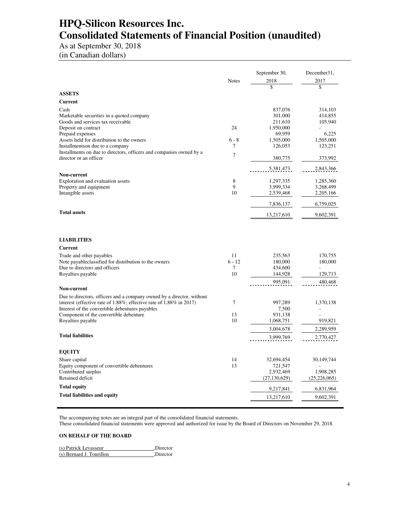# **HPQ-Silicon Resources Inc. Consolidated Statements of Financial Position (unaudited)**

As at September 30, 2018

(in Canadian dollars)

|                                                                                                                        |                  | September 30,          | December31,            |
|------------------------------------------------------------------------------------------------------------------------|------------------|------------------------|------------------------|
|                                                                                                                        | <b>Notes</b>     | 2018                   | 2017                   |
|                                                                                                                        |                  | \$                     | \$                     |
| <b>ASSETS</b>                                                                                                          |                  |                        |                        |
| Current                                                                                                                |                  |                        |                        |
| Cash                                                                                                                   |                  | 837,076                | 314,103                |
| Marketable securities in a quoted company<br>Goods and services tax receivable                                         |                  | 301,000<br>211,610     | 414,855<br>105,940     |
| Deposit on contract                                                                                                    | 24               | 1,950,000              |                        |
| Prepaid expenses                                                                                                       |                  | 69,959                 | 6,225                  |
| Assets held for distribution to the owners                                                                             | $6 - 8$          | 1,505,000              | 1,505,000              |
| Installmentson due to a company                                                                                        | 7                | 126,053                | 123,251                |
| Installments on due to directors, officers and companies owned by a<br>director or an officer                          | $\overline{7}$   | 380,775                | 373,992                |
|                                                                                                                        |                  | 5,381,473              | 2,843,366              |
| Non-current                                                                                                            |                  |                        |                        |
| Exploration and evaluation assets                                                                                      | $\,$ 8 $\,$<br>9 | 1,297,335              | 1,285,360              |
| Property and equipment<br>Intangible assets                                                                            | 10               | 3,999,334<br>2,539,468 | 3,268,499<br>2,205,166 |
|                                                                                                                        |                  |                        |                        |
|                                                                                                                        |                  | 7,836,137              | 6,759,025              |
| <b>Total assets</b>                                                                                                    |                  | 13,217,610             | 9,602,391              |
| <b>LIABILITIES</b>                                                                                                     |                  |                        |                        |
| <b>Current</b>                                                                                                         |                  |                        |                        |
| Trade and other payables                                                                                               | 11               | 235,563                | 170,755                |
| Note payableclassified for distribution to the owners                                                                  | $6 - 12$         | 180,000                | 180,000                |
| Due to directors and officers                                                                                          | $\tau$           | 434,600                |                        |
| Royalties payable                                                                                                      | 10               | 144,928                | 129,713                |
|                                                                                                                        |                  | 995,091                | 480,468                |
| Non-current                                                                                                            |                  |                        |                        |
| Due to directors, officers and a company owned by a director, without                                                  |                  |                        |                        |
| interest (effective rate of 1.88%; effective rate of 1,88% in 2017)<br>Interest of the convertible debentures payables | 7                | 997,289<br>7,500       | 1,370,138              |
| Component of the convertible debenture                                                                                 | 13               | 931,138                |                        |
| Royalties payable                                                                                                      | 10               | 1,068,751              | 919,821                |
|                                                                                                                        |                  | 3,004,678              | 2,289,959              |
| <b>Total liabilities</b>                                                                                               |                  | 3,999,769              | 2,770,427              |
| <b>EQUITY</b>                                                                                                          |                  |                        |                        |
| Share capital                                                                                                          | 14               | 32,694,454             | 30,149,744             |
| Equity component of convertible debentures                                                                             | 13               | 721,547                |                        |
| Contributed surplus                                                                                                    |                  | 2,932,469              | 1,908,285              |
| Retained deficit                                                                                                       |                  | (27, 130, 629)         | (25, 226, 065)         |
| <b>Total equity</b>                                                                                                    |                  | 9,217,841              | 6,831,964              |
| <b>Total liabilities and equity</b>                                                                                    |                  | 13,217,610             | 9,602,391              |
|                                                                                                                        |                  |                        |                        |

The accompanying notes are an integral part of the consolidated financial statements.

These consolidated financial statements were approved and authorized for issue by the Board of Directors on November 29, 2018.

#### **ON BEHALF OF THE BOARD**

| (s) Patrick Levasseur    | .Director |
|--------------------------|-----------|
| (s) Bernard J. Tourillon | .Director |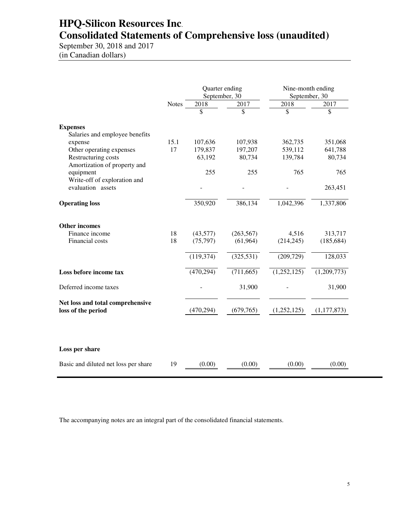# **HPQ-Silicon Resources Inc**. **Consolidated Statements of Comprehensive loss (unaudited)**

September 30, 2018 and 2017 (in Canadian dollars)

|                                                        |              | Quarter ending<br>September, 30 |            | Nine-month ending<br>September, 30 |               |
|--------------------------------------------------------|--------------|---------------------------------|------------|------------------------------------|---------------|
|                                                        | <b>Notes</b> | 2018                            | 2017       | 2018                               | 2017          |
|                                                        |              | \$                              | \$         | \$                                 | \$            |
| <b>Expenses</b>                                        |              |                                 |            |                                    |               |
| Salaries and employee benefits<br>expense              | 15.1         | 107,636                         | 107,938    | 362,735                            | 351,068       |
| Other operating expenses                               | 17           | 179,837                         | 197,207    | 539,112                            | 641,788       |
| Restructuring costs<br>Amortization of property and    |              | 63,192                          | 80,734     | 139,784                            | 80,734        |
| equipment                                              |              | 255                             | 255        | 765                                | 765           |
| Write-off of exploration and<br>evaluation assets      |              |                                 |            |                                    | 263,451       |
| <b>Operating loss</b>                                  |              | 350,920                         | 386,134    | 1,042,396                          | 1,337,806     |
| <b>Other incomes</b>                                   |              |                                 |            |                                    |               |
| Finance income                                         | 18           | (43,577)                        | (263, 567) | 4,516                              | 313,717       |
| Financial costs                                        | 18           | (75, 797)                       | (61, 964)  | (214, 245)                         | (185, 684)    |
|                                                        |              | (119, 374)                      | (325, 531) | (209, 729)                         | 128,033       |
| Loss before income tax                                 |              | (470, 294)                      | (711, 665) | (1,252,125)                        | (1,209,773)   |
| Deferred income taxes                                  |              |                                 | 31,900     |                                    | 31,900        |
| Net loss and total comprehensive<br>loss of the period |              | (470, 294)                      | (679, 765) | (1,252,125)                        | (1, 177, 873) |
|                                                        |              |                                 |            |                                    |               |
| Loss per share                                         |              |                                 |            |                                    |               |
| Basic and diluted net loss per share                   | 19           | (0.00)                          | (0.00)     | (0.00)                             | (0.00)        |

The accompanying notes are an integral part of the consolidated financial statements.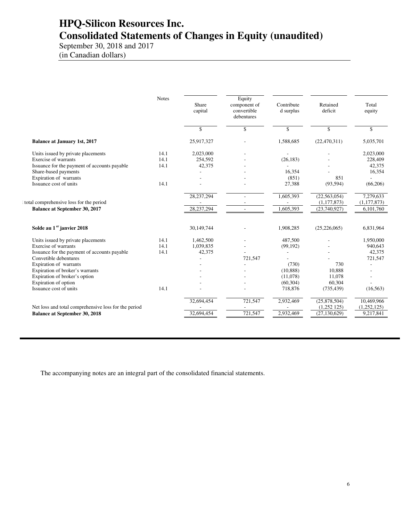# **HPQ-Silicon Resources Inc. Consolidated Statements of Changes in Equity (unaudited)**

September 30, 2018 and 2017 (in Canadian dollars)

|                                                      | <b>Notes</b> | Share<br>capital | Equity<br>component of<br>convertible<br>debentures | Contribute<br>d surplus | Retained<br>deficit | Total<br>equity |
|------------------------------------------------------|--------------|------------------|-----------------------------------------------------|-------------------------|---------------------|-----------------|
|                                                      |              | \$               | \$                                                  | \$                      | \$                  | \$              |
| <b>Balance at January 1st, 2017</b>                  |              | 25,917,327       |                                                     | 1,588,685               | (22, 470, 311)      | 5,035,701       |
| Units issued by private placements                   | 14.1         | 2,023,000        |                                                     |                         |                     | 2,023,000       |
| Exercise of warrants                                 | 14.1         | 254,592          |                                                     | (26, 183)               |                     | 228,409         |
| Issuance for the payment of accounts payable         | 14.1         | 42,375           |                                                     |                         |                     | 42,375          |
| Share-based payments                                 |              |                  |                                                     | 16,354                  |                     | 16,354          |
| Expiration of warrants                               |              |                  |                                                     | (851)                   | 851                 |                 |
| Issuance cost of units                               | 14.1         |                  |                                                     | 27,388                  | (93, 594)           | (66,206)        |
|                                                      |              | 28, 237, 294     |                                                     | 1,605,393               | (22, 563, 054)      | 7,279,633       |
| total comprehensive loss for the period              |              |                  |                                                     |                         | (1, 177, 873)       | (1, 177, 873)   |
| <b>Balance at September 30, 2017</b>                 |              | 28, 237, 294     |                                                     | 1,605,393               | (23,740,927)        | 6,101,760       |
| Solde au 1 <sup>er</sup> janvier 2018                |              | 30,149,744       |                                                     | 1,908,285               | (25, 226, 065)      | 6,831,964       |
| Units issued by private placements                   | 14.1         | 1,462,500        |                                                     | 487,500                 |                     | 1,950,000       |
| Exercise of warrants                                 | 14.1         | 1,039,835        |                                                     | (99, 192)               |                     | 940,643         |
| Issuance for the payment of accounts payable         | 14.1         | 42,375           |                                                     |                         |                     | 42,375          |
| Convetible debentures                                |              |                  | 721,547                                             |                         |                     | 721,547         |
| Expiration of warrants                               |              |                  |                                                     | (730)                   | 730                 | ÷.              |
| Expiration of broker's warrants                      |              |                  |                                                     | (10, 888)               | 10,888              |                 |
| Expiration of broker's option                        |              |                  |                                                     | (11,078)                | 11,078              |                 |
| Expiration of option                                 |              |                  |                                                     | (60, 304)               | 60,304              |                 |
| Issuance cost of units                               | 14.1         |                  |                                                     | 718,876                 | (735, 439)          | (16, 563)       |
|                                                      |              | 32,694,454       | 721,547                                             | 2,932,469               | (25,878,504)        | 10,469,966      |
| Net loss and total comprehensive loss for the period |              |                  |                                                     |                         | (1,252125)          | (1,252,125)     |
| <b>Balance at September 30, 2018</b>                 |              | 32,694,454       | 721,547                                             | 2,932,469               | (27, 130, 629)      | 9,217,841       |

The accompanying notes are an integral part of the consolidated financial statements.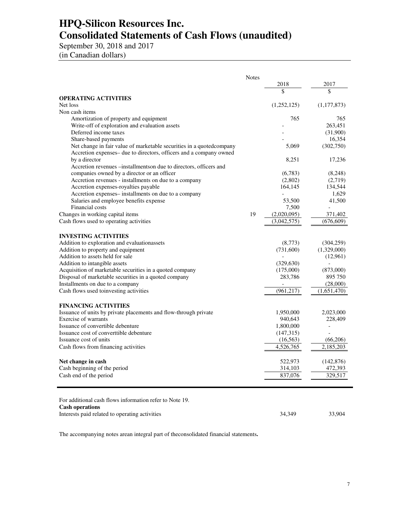# **HPQ-Silicon Resources Inc. Consolidated Statements of Cash Flows (unaudited)**

September 30, 2018 and 2017 (in Canadian dollars)

|                                                                       | <b>Notes</b> |               |             |
|-----------------------------------------------------------------------|--------------|---------------|-------------|
|                                                                       |              | 2018          | 2017        |
|                                                                       |              | $\mathcal{S}$ | \$          |
| <b>OPERATING ACTIVITIES</b>                                           |              |               |             |
| Net loss                                                              |              | (1,252,125)   | (1,177,873) |
| Non cash items                                                        |              |               |             |
| Amortization of property and equipment                                |              | 765           | 765         |
| Write-off of exploration and evaluation assets                        |              |               | 263,451     |
| Deferred income taxes                                                 |              |               | (31,900)    |
| Share-based payments                                                  |              |               | 16,354      |
| Net change in fair value of marketable securities in a quoted company |              | 5,069         | (302,750)   |
| Accretion expenses– due to directors, officers and a company owned    |              |               |             |
| by a director                                                         |              | 8,251         | 17,236      |
| Accretion revenues – installments on due to directors, officers and   |              |               |             |
| companies owned by a director or an officer                           |              | (6,783)       | (8,248)     |
| Accretion revenues - installments on due to a company                 |              | (2,802)       | (2,719)     |
| Accretion expenses-royalties payable                                  |              | 164,145       | 134,544     |
| Accretion expenses-installments on due to a company                   |              |               | 1,629       |
| Salaries and employee benefits expense                                |              | 53,500        | 41,500      |
| Financial costs                                                       |              | 7,500         |             |
| Changes in working capital items                                      | 19           | (2,020,095)   | 371,402     |
| Cash flows used to operating activities                               |              | (3,042,575)   | (676, 609)  |
|                                                                       |              |               |             |
| <b>INVESTING ACTIVITIES</b>                                           |              |               |             |
| Addition to exploration and evaluationassets                          |              | (8,773)       | (304, 259)  |
| Addition to property and equipment                                    |              | (731,600)     | (1,329,000) |
| Addition to assets held for sale                                      |              |               | (12,961)    |
| Addition to intangible assets                                         |              | (329, 630)    |             |
| Acquisition of marketable securities in a quoted company              |              | (175,000)     | (873,000)   |
| Disposal of marketable securities in a quoted company                 |              | 283,786       | 895 750     |
| Installments on due to a company                                      |              |               | (28,000)    |
| Cash flows used to investing activities                               |              | (961, 217)    | (1,651,470) |
|                                                                       |              |               |             |
| <b>FINANCING ACTIVITIES</b>                                           |              |               |             |
| Issuance of units by private placements and flow-through private      |              | 1,950,000     | 2,023,000   |
| Exercise of warrants                                                  |              | 940,643       | 228,409     |
| Issuance of convertible debenture                                     |              | 1,800,000     |             |
| Issuance cost of converttible debenture                               |              | (147,315)     |             |
| Issuance cost of units                                                |              | (16, 563)     | (66,206)    |
| Cash flows from financing activities                                  |              | 4,526,765     | 2,185,203   |
|                                                                       |              |               |             |
| Net change in cash                                                    |              | 522,973       | (142, 876)  |
| Cash beginning of the period                                          |              | 314,103       | 472,393     |
| Cash end of the period                                                |              | 837,076       | 329,517     |
|                                                                       |              |               |             |
|                                                                       |              |               |             |
| For additional cash flows information refer to Note 19.               |              |               |             |
| <b>Cash operations</b>                                                |              |               |             |
| Interests paid related to operating activities                        |              | 34.349        | 33.904      |

The accompanying notes arean integral part of theconsolidated financial statements**.**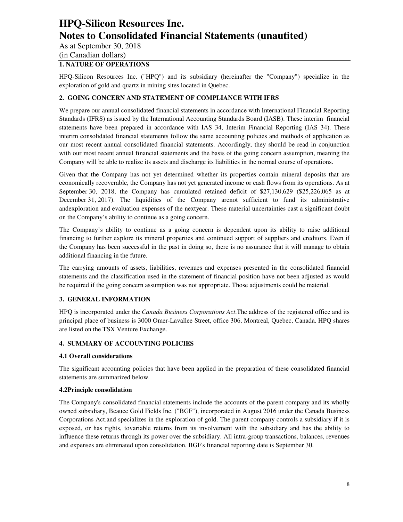As at September 30, 2018

(in Canadian dollars)

#### **1. NATURE OF OPERATIONS**

HPQ-Silicon Resources Inc. ("HPQ") and its subsidiary (hereinafter the "Company") specialize in the exploration of gold and quartz in mining sites located in Quebec.

### **2. GOING CONCERN AND STATEMENT OF COMPLIANCE WITH IFRS**

We prepare our annual consolidated financial statements in accordance with International Financial Reporting Standards (IFRS) as issued by the International Accounting Standards Board (IASB). These interim financial statements have been prepared in accordance with IAS 34, Interim Financial Reporting (IAS 34). These interim consolidated financial statements follow the same accounting policies and methods of application as our most recent annual consolidated financial statements. Accordingly, they should be read in conjunction with our most recent annual financial statements and the basis of the going concern assumption, meaning the Company will be able to realize its assets and discharge its liabilities in the normal course of operations.

Given that the Company has not yet determined whether its properties contain mineral deposits that are economically recoverable, the Company has not yet generated income or cash flows from its operations. As at September 30, 2018, the Company has cumulated retained deficit of \$27,130,629 (\$25,226,065 as at December 31, 2017). The liquidities of the Company arenot sufficient to fund its administrative andexploration and evaluation expenses of the nextyear. These material uncertainties cast a significant doubt on the Company's ability to continue as a going concern.

The Company's ability to continue as a going concern is dependent upon its ability to raise additional financing to further explore its mineral properties and continued support of suppliers and creditors. Even if the Company has been successful in the past in doing so, there is no assurance that it will manage to obtain additional financing in the future.

The carrying amounts of assets, liabilities, revenues and expenses presented in the consolidated financial statements and the classification used in the statement of financial position have not been adjusted as would be required if the going concern assumption was not appropriate. Those adjustments could be material.

### **3. GENERAL INFORMATION**

HPQ is incorporated under the *Canada Business Corporations Act*.The address of the registered office and its principal place of business is 3000 Omer-Lavallee Street, office 306, Montreal, Quebec, Canada. HPQ shares are listed on the TSX Venture Exchange.

#### **4. SUMMARY OF ACCOUNTING POLICIES**

#### **4.1 Overall considerations**

The significant accounting policies that have been applied in the preparation of these consolidated financial statements are summarized below.

#### **4.2Principle consolidation**

The Company's consolidated financial statements include the accounts of the parent company and its wholly owned subsidiary, Beauce Gold Fields Inc. ("BGF"), incorporated in August 2016 under the Canada Business Corporations Act.and specializes in the exploration of gold. The parent company controls a subsidiary if it is exposed, or has rights, tovariable returns from its involvement with the subsidiary and has the ability to influence these returns through its power over the subsidiary. All intra-group transactions, balances, revenues and expenses are eliminated upon consolidation. BGF's financial reporting date is September 30.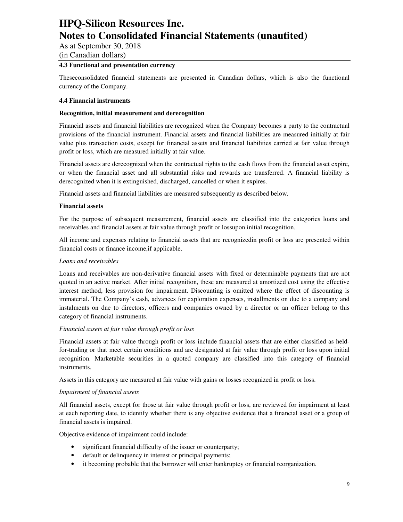As at September 30, 2018

(in Canadian dollars)

#### **4.3 Functional and presentation currency**

Theseconsolidated financial statements are presented in Canadian dollars, which is also the functional currency of the Company.

#### **4.4 Financial instruments**

#### **Recognition, initial measurement and derecognition**

Financial assets and financial liabilities are recognized when the Company becomes a party to the contractual provisions of the financial instrument. Financial assets and financial liabilities are measured initially at fair value plus transaction costs, except for financial assets and financial liabilities carried at fair value through profit or loss, which are measured initially at fair value.

Financial assets are derecognized when the contractual rights to the cash flows from the financial asset expire, or when the financial asset and all substantial risks and rewards are transferred. A financial liability is derecognized when it is extinguished, discharged, cancelled or when it expires.

Financial assets and financial liabilities are measured subsequently as described below.

#### **Financial assets**

For the purpose of subsequent measurement, financial assets are classified into the categories loans and receivables and financial assets at fair value through profit or lossupon initial recognition.

All income and expenses relating to financial assets that are recognizedin profit or loss are presented within financial costs or finance income,if applicable.

#### *Loans and receivables*

Loans and receivables are non-derivative financial assets with fixed or determinable payments that are not quoted in an active market. After initial recognition, these are measured at amortized cost using the effective interest method, less provision for impairment. Discounting is omitted where the effect of discounting is immaterial. The Company's cash, advances for exploration expenses, installments on due to a company and instalments on due to directors, officers and companies owned by a director or an officer belong to this category of financial instruments.

#### *Financial assets at fair value through profit or loss*

Financial assets at fair value through profit or loss include financial assets that are either classified as heldfor-trading or that meet certain conditions and are designated at fair value through profit or loss upon initial recognition. Marketable securities in a quoted company are classified into this category of financial instruments.

Assets in this category are measured at fair value with gains or losses recognized in profit or loss.

#### *Impairment of financial assets*

All financial assets, except for those at fair value through profit or loss, are reviewed for impairment at least at each reporting date, to identify whether there is any objective evidence that a financial asset or a group of financial assets is impaired.

Objective evidence of impairment could include:

- significant financial difficulty of the issuer or counterparty;
- default or delinquency in interest or principal payments;
- it becoming probable that the borrower will enter bankruptcy or financial reorganization.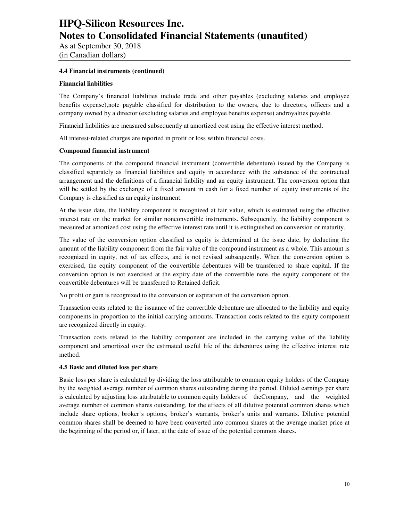As at September 30, 2018 (in Canadian dollars)

#### **4.4 Financial instruments (continued)**

#### **Financial liabilities**

The Company's financial liabilities include trade and other payables (excluding salaries and employee benefits expense),note payable classified for distribution to the owners, due to directors, officers and a company owned by a director (excluding salaries and employee benefits expense) androyalties payable.

Financial liabilities are measured subsequently at amortized cost using the effective interest method.

All interest-related charges are reported in profit or loss within financial costs.

#### **Compound financial instrument**

The components of the compound financial instrument (convertible debenture) issued by the Company is classified separately as financial liabilities and equity in accordance with the substance of the contractual arrangement and the definitions of a financial liability and an equity instrument. The conversion option that will be settled by the exchange of a fixed amount in cash for a fixed number of equity instruments of the Company is classified as an equity instrument.

At the issue date, the liability component is recognized at fair value, which is estimated using the effective interest rate on the market for similar nonconvertible instruments. Subsequently, the liability component is measured at amortized cost using the effective interest rate until it is extinguished on conversion or maturity.

The value of the conversion option classified as equity is determined at the issue date, by deducting the amount of the liability component from the fair value of the compound instrument as a whole. This amount is recognized in equity, net of tax effects, and is not revised subsequently. When the conversion option is exercised, the equity component of the convertible debentures will be transferred to share capital. If the conversion option is not exercised at the expiry date of the convertible note, the equity component of the convertible debentures will be transferred to Retained deficit.

No profit or gain is recognized to the conversion or expiration of the conversion option.

Transaction costs related to the issuance of the convertible debenture are allocated to the liability and equity components in proportion to the initial carrying amounts. Transaction costs related to the equity component are recognized directly in equity.

Transaction costs related to the liability component are included in the carrying value of the liability component and amortized over the estimated useful life of the debentures using the effective interest rate method.

#### **4.5 Basic and diluted loss per share**

Basic loss per share is calculated by dividing the loss attributable to common equity holders of the Company by the weighted average number of common shares outstanding during the period. Diluted earnings per share is calculated by adjusting loss attributable to common equity holders of theCompany, and the weighted average number of common shares outstanding, for the effects of all dilutive potential common shares which include share options, broker's options, broker's warrants, broker's units and warrants. Dilutive potential common shares shall be deemed to have been converted into common shares at the average market price at the beginning of the period or, if later, at the date of issue of the potential common shares.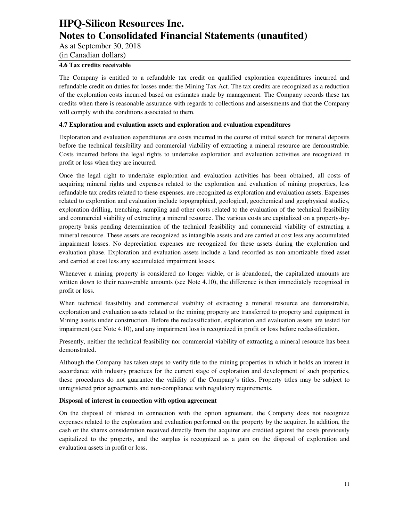As at September 30, 2018

(in Canadian dollars)

### **4.6 Tax credits receivable**

The Company is entitled to a refundable tax credit on qualified exploration expenditures incurred and refundable credit on duties for losses under the Mining Tax Act. The tax credits are recognized as a reduction of the exploration costs incurred based on estimates made by management. The Company records these tax credits when there is reasonable assurance with regards to collections and assessments and that the Company will comply with the conditions associated to them.

#### **4.7 Exploration and evaluation assets and exploration and evaluation expenditures**

Exploration and evaluation expenditures are costs incurred in the course of initial search for mineral deposits before the technical feasibility and commercial viability of extracting a mineral resource are demonstrable. Costs incurred before the legal rights to undertake exploration and evaluation activities are recognized in profit or loss when they are incurred.

Once the legal right to undertake exploration and evaluation activities has been obtained, all costs of acquiring mineral rights and expenses related to the exploration and evaluation of mining properties, less refundable tax credits related to these expenses, are recognized as exploration and evaluation assets. Expenses related to exploration and evaluation include topographical, geological, geochemical and geophysical studies, exploration drilling, trenching, sampling and other costs related to the evaluation of the technical feasibility and commercial viability of extracting a mineral resource. The various costs are capitalized on a property-byproperty basis pending determination of the technical feasibility and commercial viability of extracting a mineral resource. These assets are recognized as intangible assets and are carried at cost less any accumulated impairment losses. No depreciation expenses are recognized for these assets during the exploration and evaluation phase. Exploration and evaluation assets include a land recorded as non-amortizable fixed asset and carried at cost less any accumulated impairment losses.

Whenever a mining property is considered no longer viable, or is abandoned, the capitalized amounts are written down to their recoverable amounts (see Note 4.10), the difference is then immediately recognized in profit or loss.

When technical feasibility and commercial viability of extracting a mineral resource are demonstrable, exploration and evaluation assets related to the mining property are transferred to property and equipment in Mining assets under construction. Before the reclassification, exploration and evaluation assets are tested for impairment (see Note 4.10), and any impairment loss is recognized in profit or loss before reclassification.

Presently, neither the technical feasibility nor commercial viability of extracting a mineral resource has been demonstrated.

Although the Company has taken steps to verify title to the mining properties in which it holds an interest in accordance with industry practices for the current stage of exploration and development of such properties, these procedures do not guarantee the validity of the Company's titles. Property titles may be subject to unregistered prior agreements and non-compliance with regulatory requirements.

#### **Disposal of interest in connection with option agreement**

On the disposal of interest in connection with the option agreement, the Company does not recognize expenses related to the exploration and evaluation performed on the property by the acquirer. In addition, the cash or the shares consideration received directly from the acquirer are credited against the costs previously capitalized to the property, and the surplus is recognized as a gain on the disposal of exploration and evaluation assets in profit or loss.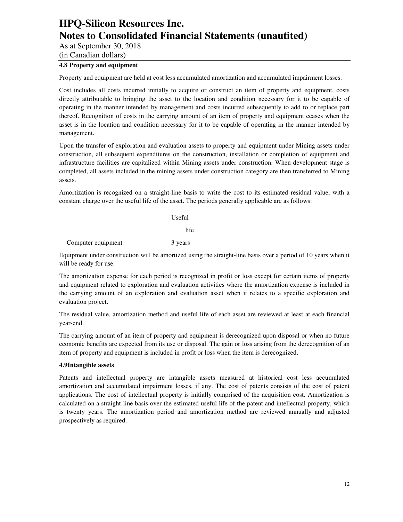As at September 30, 2018

(in Canadian dollars)

#### **4.8 Property and equipment**

Property and equipment are held at cost less accumulated amortization and accumulated impairment losses.

Cost includes all costs incurred initially to acquire or construct an item of property and equipment, costs directly attributable to bringing the asset to the location and condition necessary for it to be capable of operating in the manner intended by management and costs incurred subsequently to add to or replace part thereof. Recognition of costs in the carrying amount of an item of property and equipment ceases when the asset is in the location and condition necessary for it to be capable of operating in the manner intended by management.

Upon the transfer of exploration and evaluation assets to property and equipment under Mining assets under construction, all subsequent expenditures on the construction, installation or completion of equipment and infrastructure facilities are capitalized within Mining assets under construction. When development stage is completed, all assets included in the mining assets under construction category are then transferred to Mining assets.

Amortization is recognized on a straight-line basis to write the cost to its estimated residual value, with a constant charge over the useful life of the asset. The periods generally applicable are as follows:

Useful

life

Computer equipment 3 years

Equipment under construction will be amortized using the straight-line basis over a period of 10 years when it will be ready for use.

The amortization expense for each period is recognized in profit or loss except for certain items of property and equipment related to exploration and evaluation activities where the amortization expense is included in the carrying amount of an exploration and evaluation asset when it relates to a specific exploration and evaluation project.

The residual value, amortization method and useful life of each asset are reviewed at least at each financial year-end.

The carrying amount of an item of property and equipment is derecognized upon disposal or when no future economic benefits are expected from its use or disposal. The gain or loss arising from the derecognition of an item of property and equipment is included in profit or loss when the item is derecognized.

#### **4.9Intangible assets**

Patents and intellectual property are intangible assets measured at historical cost less accumulated amortization and accumulated impairment losses, if any. The cost of patents consists of the cost of patent applications. The cost of intellectual property is initially comprised of the acquisition cost. Amortization is calculated on a straight-line basis over the estimated useful life of the patent and intellectual property, which is twenty years. The amortization period and amortization method are reviewed annually and adjusted prospectively as required.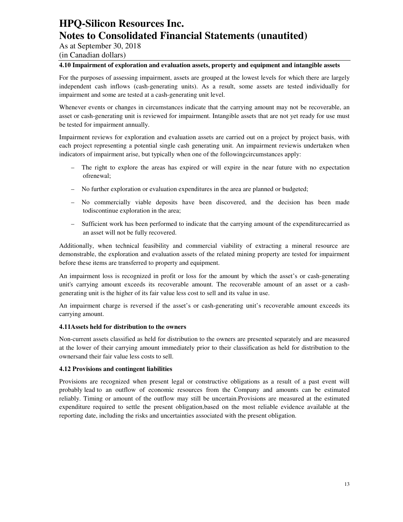As at September 30, 2018

(in Canadian dollars)

#### **4.10 Impairment of exploration and evaluation assets, property and equipment and intangible assets**

For the purposes of assessing impairment, assets are grouped at the lowest levels for which there are largely independent cash inflows (cash-generating units). As a result, some assets are tested individually for impairment and some are tested at a cash-generating unit level.

Whenever events or changes in circumstances indicate that the carrying amount may not be recoverable, an asset or cash-generating unit is reviewed for impairment. Intangible assets that are not yet ready for use must be tested for impairment annually.

Impairment reviews for exploration and evaluation assets are carried out on a project by project basis, with each project representing a potential single cash generating unit. An impairment reviewis undertaken when indicators of impairment arise, but typically when one of the followingcircumstances apply:

- The right to explore the areas has expired or will expire in the near future with no expectation ofrenewal;
- No further exploration or evaluation expenditures in the area are planned or budgeted;
- No commercially viable deposits have been discovered, and the decision has been made todiscontinue exploration in the area;
- Sufficient work has been performed to indicate that the carrying amount of the expenditurecarried as an asset will not be fully recovered.

Additionally, when technical feasibility and commercial viability of extracting a mineral resource are demonstrable, the exploration and evaluation assets of the related mining property are tested for impairment before these items are transferred to property and equipment.

An impairment loss is recognized in profit or loss for the amount by which the asset's or cash-generating unit's carrying amount exceeds its recoverable amount. The recoverable amount of an asset or a cashgenerating unit is the higher of its fair value less cost to sell and its value in use.

An impairment charge is reversed if the asset's or cash-generating unit's recoverable amount exceeds its carrying amount.

#### **4.11Assets held for distribution to the owners**

Non-current assets classified as held for distribution to the owners are presented separately and are measured at the lower of their carrying amount immediately prior to their classification as held for distribution to the ownersand their fair value less costs to sell.

#### **4.12 Provisions and contingent liabilities**

Provisions are recognized when present legal or constructive obligations as a result of a past event will probably lead to an outflow of economic resources from the Company and amounts can be estimated reliably. Timing or amount of the outflow may still be uncertain.Provisions are measured at the estimated expenditure required to settle the present obligation,based on the most reliable evidence available at the reporting date, including the risks and uncertainties associated with the present obligation.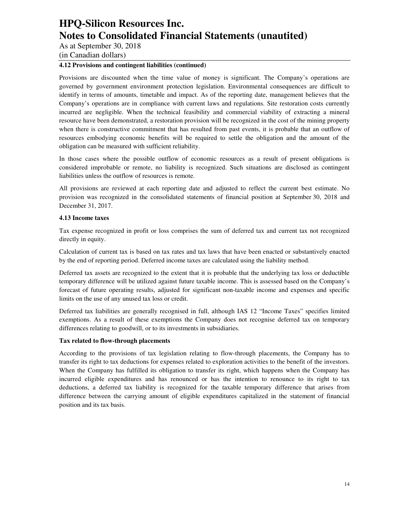As at September 30, 2018

(in Canadian dollars)

#### **4.12 Provisions and contingent liabilities (continued)**

Provisions are discounted when the time value of money is significant. The Company's operations are governed by government environment protection legislation. Environmental consequences are difficult to identify in terms of amounts, timetable and impact. As of the reporting date, management believes that the Company's operations are in compliance with current laws and regulations. Site restoration costs currently incurred are negligible. When the technical feasibility and commercial viability of extracting a mineral resource have been demonstrated, a restoration provision will be recognized in the cost of the mining property when there is constructive commitment that has resulted from past events, it is probable that an outflow of resources embodying economic benefits will be required to settle the obligation and the amount of the obligation can be measured with sufficient reliability.

In those cases where the possible outflow of economic resources as a result of present obligations is considered improbable or remote, no liability is recognized. Such situations are disclosed as contingent liabilities unless the outflow of resources is remote.

All provisions are reviewed at each reporting date and adjusted to reflect the current best estimate. No provision was recognized in the consolidated statements of financial position at September 30, 2018 and December 31, 2017.

#### **4.13 Income taxes**

Tax expense recognized in profit or loss comprises the sum of deferred tax and current tax not recognized directly in equity.

Calculation of current tax is based on tax rates and tax laws that have been enacted or substantively enacted by the end of reporting period. Deferred income taxes are calculated using the liability method.

Deferred tax assets are recognized to the extent that it is probable that the underlying tax loss or deductible temporary difference will be utilized against future taxable income. This is assessed based on the Company's forecast of future operating results, adjusted for significant non-taxable income and expenses and specific limits on the use of any unused tax loss or credit.

Deferred tax liabilities are generally recognised in full, although IAS 12 "Income Taxes" specifies limited exemptions. As a result of these exemptions the Company does not recognise deferred tax on temporary differences relating to goodwill, or to its investments in subsidiaries.

#### **Tax related to flow-through placements**

According to the provisions of tax legislation relating to flow-through placements, the Company has to transfer its right to tax deductions for expenses related to exploration activities to the benefit of the investors. When the Company has fulfilled its obligation to transfer its right, which happens when the Company has incurred eligible expenditures and has renounced or has the intention to renounce to its right to tax deductions, a deferred tax liability is recognized for the taxable temporary difference that arises from difference between the carrying amount of eligible expenditures capitalized in the statement of financial position and its tax basis.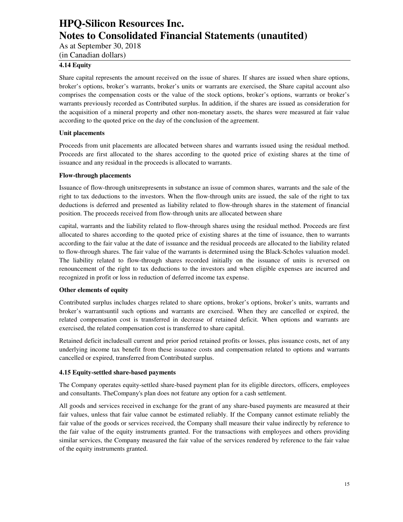As at September 30, 2018

(in Canadian dollars)

### **4.14 Equity**

Share capital represents the amount received on the issue of shares. If shares are issued when share options, broker's options, broker's warrants, broker's units or warrants are exercised, the Share capital account also comprises the compensation costs or the value of the stock options, broker's options, warrants or broker's warrants previously recorded as Contributed surplus. In addition, if the shares are issued as consideration for the acquisition of a mineral property and other non-monetary assets, the shares were measured at fair value according to the quoted price on the day of the conclusion of the agreement.

#### **Unit placements**

Proceeds from unit placements are allocated between shares and warrants issued using the residual method. Proceeds are first allocated to the shares according to the quoted price of existing shares at the time of issuance and any residual in the proceeds is allocated to warrants.

#### **Flow-through placements**

Issuance of flow-through unitsrepresents in substance an issue of common shares, warrants and the sale of the right to tax deductions to the investors. When the flow-through units are issued, the sale of the right to tax deductions is deferred and presented as liability related to flow-through shares in the statement of financial position. The proceeds received from flow-through units are allocated between share

capital, warrants and the liability related to flow-through shares using the residual method. Proceeds are first allocated to shares according to the quoted price of existing shares at the time of issuance, then to warrants according to the fair value at the date of issuance and the residual proceeds are allocated to the liability related to flow-through shares. The fair value of the warrants is determined using the Black-Scholes valuation model. The liability related to flow-through shares recorded initially on the issuance of units is reversed on renouncement of the right to tax deductions to the investors and when eligible expenses are incurred and recognized in profit or loss in reduction of deferred income tax expense.

### **Other elements of equity**

Contributed surplus includes charges related to share options, broker's options, broker's units, warrants and broker's warrantsuntil such options and warrants are exercised. When they are cancelled or expired, the related compensation cost is transferred in decrease of retained deficit. When options and warrants are exercised, the related compensation cost is transferred to share capital.

Retained deficit includesall current and prior period retained profits or losses, plus issuance costs, net of any underlying income tax benefit from these issuance costs and compensation related to options and warrants cancelled or expired, transferred from Contributed surplus.

#### **4.15 Equity-settled share-based payments**

The Company operates equity-settled share-based payment plan for its eligible directors, officers, employees and consultants. TheCompany's plan does not feature any option for a cash settlement.

All goods and services received in exchange for the grant of any share-based payments are measured at their fair values, unless that fair value cannot be estimated reliably. If the Company cannot estimate reliably the fair value of the goods or services received, the Company shall measure their value indirectly by reference to the fair value of the equity instruments granted. For the transactions with employees and others providing similar services, the Company measured the fair value of the services rendered by reference to the fair value of the equity instruments granted.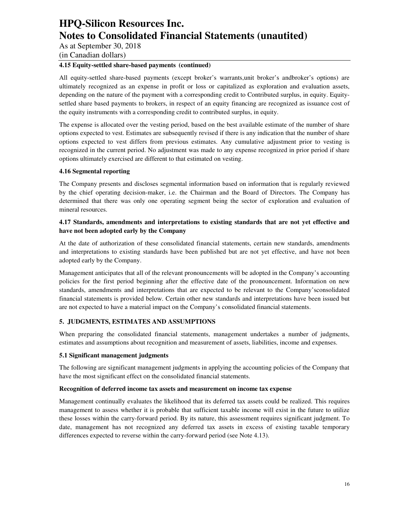As at September 30, 2018

(in Canadian dollars)

### **4.15 Equity-settled share-based payments (continued)**

All equity-settled share-based payments (except broker's warrants,unit broker's andbroker's options) are ultimately recognized as an expense in profit or loss or capitalized as exploration and evaluation assets, depending on the nature of the payment with a corresponding credit to Contributed surplus, in equity. Equitysettled share based payments to brokers, in respect of an equity financing are recognized as issuance cost of the equity instruments with a corresponding credit to contributed surplus, in equity.

The expense is allocated over the vesting period, based on the best available estimate of the number of share options expected to vest. Estimates are subsequently revised if there is any indication that the number of share options expected to vest differs from previous estimates. Any cumulative adjustment prior to vesting is recognized in the current period. No adjustment was made to any expense recognized in prior period if share options ultimately exercised are different to that estimated on vesting.

#### **4.16 Segmental reporting**

The Company presents and discloses segmental information based on information that is regularly reviewed by the chief operating decision-maker, i.e. the Chairman and the Board of Directors. The Company has determined that there was only one operating segment being the sector of exploration and evaluation of mineral resources.

### **4.17 Standards, amendments and interpretations to existing standards that are not yet effective and have not been adopted early by the Company**

At the date of authorization of these consolidated financial statements, certain new standards, amendments and interpretations to existing standards have been published but are not yet effective, and have not been adopted early by the Company.

Management anticipates that all of the relevant pronouncements will be adopted in the Company's accounting policies for the first period beginning after the effective date of the pronouncement. Information on new standards, amendments and interpretations that are expected to be relevant to the Company'sconsolidated financial statements is provided below. Certain other new standards and interpretations have been issued but are not expected to have a material impact on the Company's consolidated financial statements.

### **5. JUDGMENTS, ESTIMATES AND ASSUMPTIONS**

When preparing the consolidated financial statements, management undertakes a number of judgments, estimates and assumptions about recognition and measurement of assets, liabilities, income and expenses.

#### **5.1 Significant management judgments**

The following are significant management judgments in applying the accounting policies of the Company that have the most significant effect on the consolidated financial statements.

#### **Recognition of deferred income tax assets and measurement on income tax expense**

Management continually evaluates the likelihood that its deferred tax assets could be realized. This requires management to assess whether it is probable that sufficient taxable income will exist in the future to utilize these losses within the carry-forward period. By its nature, this assessment requires significant judgment. To date, management has not recognized any deferred tax assets in excess of existing taxable temporary differences expected to reverse within the carry-forward period (see Note 4.13).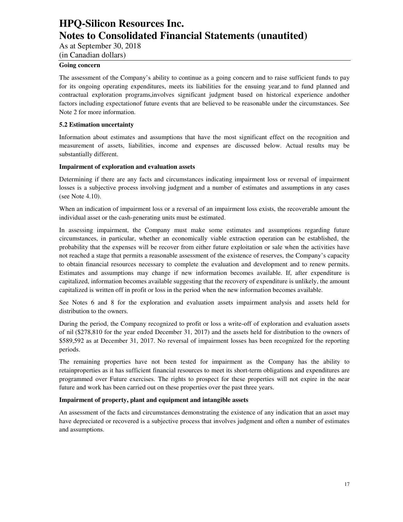As at September 30, 2018

(in Canadian dollars)

#### **Going concern**

The assessment of the Company's ability to continue as a going concern and to raise sufficient funds to pay for its ongoing operating expenditures, meets its liabilities for the ensuing year,and to fund planned and contractual exploration programs,involves significant judgment based on historical experience andother factors including expectationof future events that are believed to be reasonable under the circumstances. See Note 2 for more information.

#### **5.2 Estimation uncertainty**

Information about estimates and assumptions that have the most significant effect on the recognition and measurement of assets, liabilities, income and expenses are discussed below. Actual results may be substantially different.

#### **Impairment of exploration and evaluation assets**

Determining if there are any facts and circumstances indicating impairment loss or reversal of impairment losses is a subjective process involving judgment and a number of estimates and assumptions in any cases (see Note 4.10).

When an indication of impairment loss or a reversal of an impairment loss exists, the recoverable amount the individual asset or the cash-generating units must be estimated.

In assessing impairment, the Company must make some estimates and assumptions regarding future circumstances, in particular, whether an economically viable extraction operation can be established, the probability that the expenses will be recover from either future exploitation or sale when the activities have not reached a stage that permits a reasonable assessment of the existence of reserves, the Company's capacity to obtain financial resources necessary to complete the evaluation and development and to renew permits. Estimates and assumptions may change if new information becomes available. If, after expenditure is capitalized, information becomes available suggesting that the recovery of expenditure is unlikely, the amount capitalized is written off in profit or loss in the period when the new information becomes available.

See Notes 6 and 8 for the exploration and evaluation assets impairment analysis and assets held for distribution to the owners.

During the period, the Company recognized to profit or loss a write-off of exploration and evaluation assets of nil (\$278,810 for the year ended December 31, 2017) and the assets held for distribution to the owners of \$589,592 as at December 31, 2017. No reversal of impairment losses has been recognized for the reporting periods.

The remaining properties have not been tested for impairment as the Company has the ability to retainproperties as it has sufficient financial resources to meet its short-term obligations and expenditures are programmed over Future exercises. The rights to prospect for these properties will not expire in the near future and work has been carried out on these properties over the past three years.

#### **Impairment of property, plant and equipment and intangible assets**

An assessment of the facts and circumstances demonstrating the existence of any indication that an asset may have depreciated or recovered is a subjective process that involves judgment and often a number of estimates and assumptions.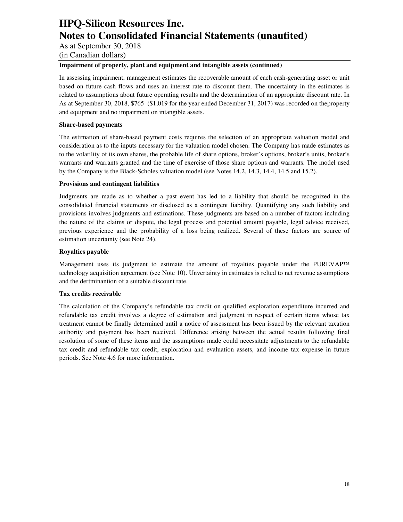As at September 30, 2018

(in Canadian dollars)

#### **Impairment of property, plant and equipment and intangible assets (continued)**

In assessing impairment, management estimates the recoverable amount of each cash-generating asset or unit based on future cash flows and uses an interest rate to discount them. The uncertainty in the estimates is related to assumptions about future operating results and the determination of an appropriate discount rate. In As at September 30, 2018, \$765 (\$1,019 for the year ended December 31, 2017) was recorded on theproperty and equipment and no impairment on intangible assets.

#### **Share-based payments**

The estimation of share-based payment costs requires the selection of an appropriate valuation model and consideration as to the inputs necessary for the valuation model chosen. The Company has made estimates as to the volatility of its own shares, the probable life of share options, broker's options, broker's units, broker's warrants and warrants granted and the time of exercise of those share options and warrants. The model used by the Company is the Black-Scholes valuation model (see Notes 14.2, 14.3, 14.4, 14.5 and 15.2).

#### **Provisions and contingent liabilities**

Judgments are made as to whether a past event has led to a liability that should be recognized in the consolidated financial statements or disclosed as a contingent liability. Quantifying any such liability and provisions involves judgments and estimations. These judgments are based on a number of factors including the nature of the claims or dispute, the legal process and potential amount payable, legal advice received, previous experience and the probability of a loss being realized. Several of these factors are source of estimation uncertainty (see Note 24).

#### **Royalties payable**

Management uses its judgment to estimate the amount of royalties payable under the PUREVAP™ technology acquisition agreement (see Note 10). Unvertainty in estimates is relted to net revenue assumptions and the dertminantion of a suitable discount rate.

### **Tax credits receivable**

The calculation of the Company's refundable tax credit on qualified exploration expenditure incurred and refundable tax credit involves a degree of estimation and judgment in respect of certain items whose tax treatment cannot be finally determined until a notice of assessment has been issued by the relevant taxation authority and payment has been received. Difference arising between the actual results following final resolution of some of these items and the assumptions made could necessitate adjustments to the refundable tax credit and refundable tax credit, exploration and evaluation assets, and income tax expense in future periods. See Note 4.6 for more information.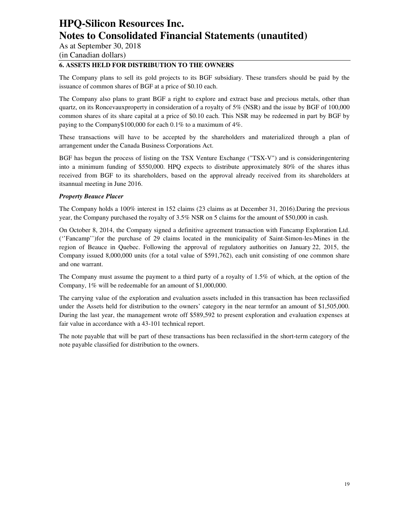As at September 30, 2018

(in Canadian dollars)

### **6. ASSETS HELD FOR DISTRIBUTION TO THE OWNERS**

The Company plans to sell its gold projects to its BGF subsidiary. These transfers should be paid by the issuance of common shares of BGF at a price of \$0.10 each.

The Company also plans to grant BGF a right to explore and extract base and precious metals, other than quartz, on its Roncevauxproperty in consideration of a royalty of 5% (NSR) and the issue by BGF of 100,000 common shares of its share capital at a price of \$0.10 each. This NSR may be redeemed in part by BGF by paying to the Company\$100,000 for each 0.1% to a maximum of 4%.

These transactions will have to be accepted by the shareholders and materialized through a plan of arrangement under the Canada Business Corporations Act.

BGF has begun the process of listing on the TSX Venture Exchange ("TSX-V") and is consideringentering into a minimum funding of \$550,000. HPQ expects to distribute approximately 80% of the shares ithas received from BGF to its shareholders, based on the approval already received from its shareholders at itsannual meeting in June 2016.

#### *Property Beauce Placer*

The Company holds a 100% interest in 152 claims (23 claims as at December 31, 2016).During the previous year, the Company purchased the royalty of 3.5% NSR on 5 claims for the amount of \$50,000 in cash.

On October 8, 2014, the Company signed a definitive agreement transaction with Fancamp Exploration Ltd. (''Fancamp'')for the purchase of 29 claims located in the municipality of Saint-Simon-les-Mines in the region of Beauce in Quebec. Following the approval of regulatory authorities on January 22, 2015, the Company issued 8,000,000 units (for a total value of \$591,762), each unit consisting of one common share and one warrant.

The Company must assume the payment to a third party of a royalty of 1.5% of which, at the option of the Company, 1% will be redeemable for an amount of \$1,000,000.

The carrying value of the exploration and evaluation assets included in this transaction has been reclassified under the Assets held for distribution to the owners' category in the near termfor an amount of \$1,505,000. During the last year, the management wrote off \$589,592 to present exploration and evaluation expenses at fair value in accordance with a 43-101 technical report.

The note payable that will be part of these transactions has been reclassified in the short-term category of the note payable classified for distribution to the owners.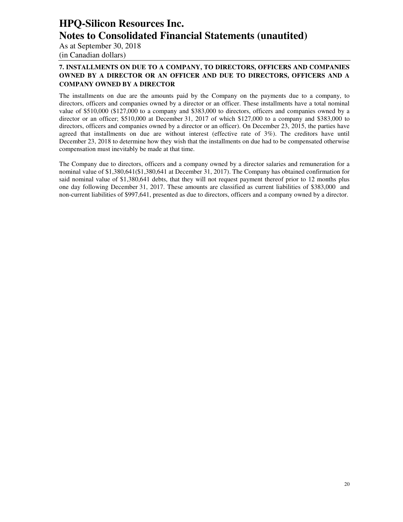As at September 30, 2018 (in Canadian dollars)

### **7. INSTALLMENTS ON DUE TO A COMPANY, TO DIRECTORS, OFFICERS AND COMPANIES OWNED BY A DIRECTOR OR AN OFFICER AND DUE TO DIRECTORS, OFFICERS AND A COMPANY OWNED BY A DIRECTOR**

The installments on due are the amounts paid by the Company on the payments due to a company, to directors, officers and companies owned by a director or an officer. These installments have a total nominal value of \$510,000 (\$127,000 to a company and \$383,000 to directors, officers and companies owned by a director or an officer; \$510,000 at December 31, 2017 of which \$127,000 to a company and \$383,000 to directors, officers and companies owned by a director or an officer). On December 23, 2015, the parties have agreed that installments on due are without interest (effective rate of 3%). The creditors have until December 23, 2018 to determine how they wish that the installments on due had to be compensated otherwise compensation must inevitably be made at that time.

The Company due to directors, officers and a company owned by a director salaries and remuneration for a nominal value of \$1,380,641(\$1,380,641 at December 31, 2017). The Company has obtained confirmation for said nominal value of \$1,380,641 debts, that they will not request payment thereof prior to 12 months plus one day following December 31, 2017. These amounts are classified as current liabilities of \$383,000 and non-current liabilities of \$997,641, presented as due to directors, officers and a company owned by a director.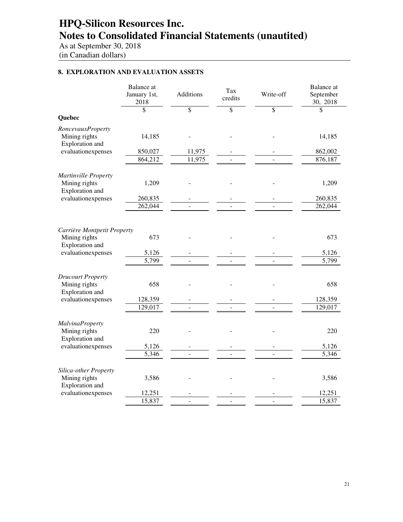As at September 30, 2018 (in Canadian dollars)

### **8. EXPLORATION AND EVALUATION ASSETS**

|                                                              | <b>Balance</b> at<br>January 1st,<br>2018 | <b>Additions</b> | Tax<br>credits | Write-off | <b>Balance</b> at<br>September<br>30, 2018 |
|--------------------------------------------------------------|-------------------------------------------|------------------|----------------|-----------|--------------------------------------------|
|                                                              | \$                                        | \$               | \$             | \$        | \$                                         |
| Quebec                                                       |                                           |                  |                |           |                                            |
| RoncevauxProperty<br>Mining rights<br>Exploration and        | 14,185                                    |                  |                |           | 14,185                                     |
| evaluationexpenses                                           | 850,027                                   | 11,975           |                |           | 862,002                                    |
|                                                              | 864,212                                   | 11,975           |                |           | 876,187                                    |
| Martinville Property<br>Mining rights                        | 1,209                                     |                  |                |           | 1,209                                      |
| Exploration and                                              |                                           |                  |                |           |                                            |
| evaluationexpenses                                           | 260,835<br>262,044                        |                  |                |           | 260,835<br>262,044                         |
|                                                              |                                           |                  |                |           |                                            |
| Carrière Montpetit Property                                  |                                           |                  |                |           |                                            |
| Mining rights<br>Exploration and                             | 673                                       |                  |                |           | 673                                        |
| evaluationexpenses                                           | 5,126                                     |                  |                |           | 5,126                                      |
|                                                              | 5,799                                     |                  |                |           | 5,799                                      |
| <b>Drucourt Property</b><br>Mining rights<br>Exploration and | 658                                       |                  |                |           | 658                                        |
| evaluationexpenses                                           | 128,359                                   |                  |                |           | 128,359                                    |
|                                                              | 129,017                                   |                  |                |           | 129,017                                    |
| <b>MalvinaProperty</b>                                       |                                           |                  |                |           |                                            |
| Mining rights<br>Exploration and                             | 220                                       |                  |                |           | 220                                        |
| evaluationexpenses                                           | 5,126                                     |                  |                |           | 5,126                                      |
|                                                              | 5,346                                     |                  |                |           | 5,346                                      |
| Silica-other Property<br>Mining rights<br>Exploration and    | 3,586                                     |                  |                |           | 3,586                                      |
| evaluationexpenses                                           | 12,251                                    |                  |                |           | 12,251                                     |
|                                                              | 15,837                                    |                  |                |           | 15,837                                     |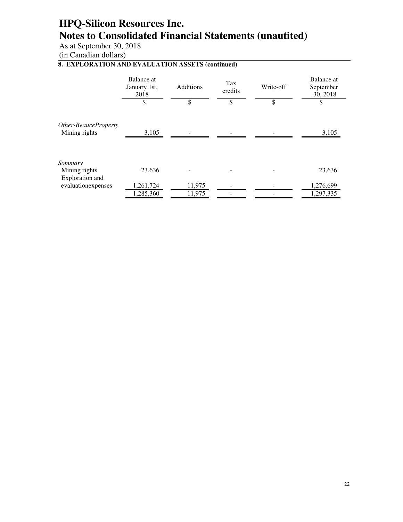As at September 30, 2018

(in Canadian dollars)

### **8. EXPLORATION AND EVALUATION ASSETS (continued)**

|                                             | Balance at<br>January 1st,<br>2018 | <b>Additions</b> | Tax<br>credits | Write-off | Balance at<br>September<br>30, 2018 |
|---------------------------------------------|------------------------------------|------------------|----------------|-----------|-------------------------------------|
|                                             | \$                                 | \$               | \$             | \$        | \$                                  |
| Other-BeauceProperty<br>Mining rights       | 3,105                              |                  |                |           | 3,105                               |
| Sommary<br>Mining rights<br>Exploration and | 23,636                             |                  |                |           | 23,636                              |
| evaluationexpenses                          | 1,261,724<br>1,285,360             | 11,975<br>11,975 |                |           | 1,276,699<br>1,297,335              |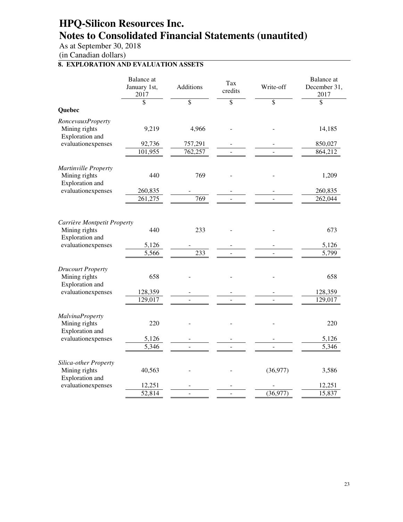As at September 30, 2018

(in Canadian dollars)

### **8. EXPLORATION AND EVALUATION ASSETS**

|                                                            | <b>Balance</b> at<br>January 1st,<br>2017 | Additions       | Tax<br>credits           | Write-off       | <b>Balance</b> at<br>December 31,<br>2017 |
|------------------------------------------------------------|-------------------------------------------|-----------------|--------------------------|-----------------|-------------------------------------------|
|                                                            | \$                                        | $\overline{\$}$ | $\overline{\mathcal{S}}$ | $\overline{\$}$ | $\overline{\mathcal{S}}$                  |
| Quebec                                                     |                                           |                 |                          |                 |                                           |
| RoncevauxProperty                                          |                                           |                 |                          |                 |                                           |
| Mining rights<br>Exploration and                           | 9,219                                     | 4,966           |                          |                 | 14,185                                    |
| evaluationexpenses                                         | 92,736                                    | 757,291         |                          |                 | 850,027                                   |
|                                                            | 101,955                                   | 762,257         |                          |                 | 864,212                                   |
| Martinville Property                                       |                                           |                 |                          |                 |                                           |
| Mining rights<br>Exploration and                           | 440                                       | 769             |                          |                 | 1,209                                     |
| evaluationexpenses                                         | 260,835                                   |                 |                          |                 | 260,835                                   |
|                                                            | 261,275                                   | 769             |                          |                 | 262,044                                   |
|                                                            |                                           |                 |                          |                 |                                           |
| Carrière Montpetit Property                                | 440                                       | 233             |                          |                 | 673                                       |
| Mining rights<br>Exploration and                           |                                           |                 |                          |                 |                                           |
| evaluationexpenses                                         | 5,126                                     |                 |                          |                 | 5,126                                     |
|                                                            | $\overline{5,566}$                        | 233             |                          |                 | 5,799                                     |
| <b>Drucourt Property</b><br>Mining rights                  | 658                                       |                 |                          |                 | 658                                       |
| Exploration and                                            |                                           |                 |                          |                 |                                           |
| evaluationexpenses                                         | 128,359                                   |                 |                          |                 | 128,359                                   |
|                                                            | 129,017                                   |                 |                          |                 | 129,017                                   |
|                                                            |                                           |                 |                          |                 |                                           |
| <b>MalvinaProperty</b><br>Mining rights<br>Exploration and | 220                                       |                 |                          |                 | 220                                       |
| evaluationexpenses                                         | 5,126                                     |                 |                          |                 | 5,126                                     |
|                                                            | 5,346                                     |                 |                          |                 | 5,346                                     |
| Silica-other Property                                      |                                           |                 |                          |                 |                                           |
| Mining rights<br>Exploration and                           | 40,563                                    |                 |                          | (36,977)        | 3,586                                     |
| evaluationexpenses                                         | 12,251                                    |                 |                          |                 | 12,251                                    |
|                                                            | 52,814                                    |                 |                          | (36,977)        | 15,837                                    |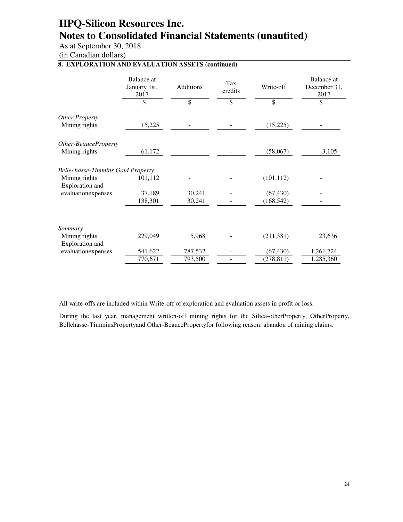As at September 30, 2018

(in Canadian dollars)

### **8. EXPLORATION AND EVALUATION ASSETS (continued)**

|                                             | Balance at<br>January 1st,<br>2017 | Additions | Tax<br>credits | Write-off  | Balance at<br>December 31,<br>2017 |
|---------------------------------------------|------------------------------------|-----------|----------------|------------|------------------------------------|
|                                             | \$                                 | \$        | \$             | \$         | \$                                 |
| Other Property                              |                                    |           |                |            |                                    |
| Mining rights                               | 15,225                             |           |                | (15,225)   |                                    |
| Other-BeauceProperty                        |                                    |           |                |            |                                    |
| Mining rights                               | 61,172                             |           |                | (58,067)   | 3,105                              |
| <b>Bellechasse-Timmins Gold Property</b>    |                                    |           |                |            |                                    |
| Mining rights<br>Exploration and            | 101,112                            |           |                | (101, 112) |                                    |
| evaluationexpenses                          | 37,189                             | 30,241    |                | (67, 430)  |                                    |
|                                             | 138,301                            | 30,241    |                | (168, 542) |                                    |
|                                             |                                    |           |                |            |                                    |
| Sommary<br>Mining rights<br>Exploration and | 229,049                            | 5,968     |                | (211, 381) | 23,636                             |
| evaluationexpenses                          | 541,622                            | 787,532   |                | (67, 430)  | 1,261,724                          |
|                                             | 770,671                            | 793,500   |                | (278, 811) | 1,285,360                          |

All write-offs are included within Write-off of exploration and evaluation assets in profit or loss.

During the last year, management written-off mining rights for the Silica-otherProperty, OtherProperty, Bellchasse-TimminsPropertyand Other-BeaucePropertyfor following reason: abandon of mining claims.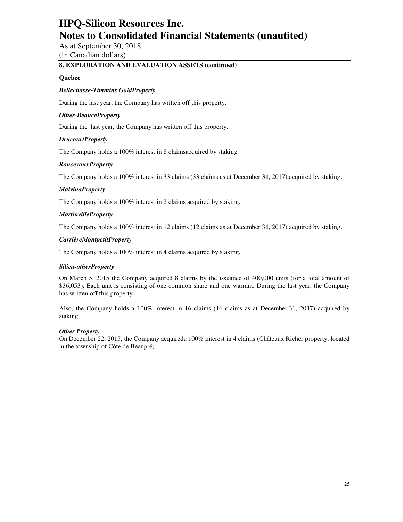As at September 30, 2018 (in Canadian dollars)

### **8. EXPLORATION AND EVALUATION ASSETS (continued)**

#### **Quebec**

#### *Bellechasse-Timmins GoldProperty*

During the last year, the Company has written off this property.

#### *Other-BeauceProperty*

During the last year, the Company has written off this property.

#### *DrucourtProperty*

The Company holds a 100% interest in 8 claimsacquired by staking.

#### *RoncevauxProperty*

The Company holds a 100% interest in 33 claims (33 claims as at December 31, 2017) acquired by staking.

#### *MalvinaProperty*

The Company holds a 100% interest in 2 claims acquired by staking.

#### *MartinvilleProperty*

The Company holds a 100% interest in 12 claims (12 claims as at December 31, 2017) acquired by staking.

#### *CarrièreMontpetitProperty*

The Company holds a 100% interest in 4 claims acquired by staking.

#### *Silica-otherProperty*

On March 5, 2015 the Company acquired 8 claims by the issuance of 400,000 units (for a total amount of \$36,053). Each unit is consisting of one common share and one warrant. During the last year, the Company has written off this property.

Also, the Company holds a 100% interest in 16 claims (16 claims as at December 31, 2017) acquired by staking.

#### *Other Property*

On December 22, 2015, the Company acquireda 100% interest in 4 claims (Châteaux Richer property, located in the township of Côte de Beaupré).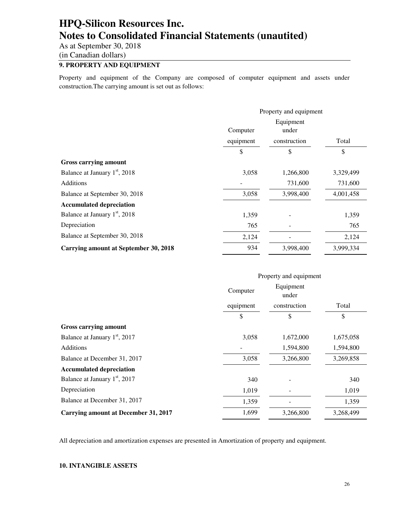As at September 30, 2018

(in Canadian dollars)

### **9. PROPERTY AND EQUIPMENT**

Property and equipment of the Company are composed of computer equipment and assets under construction.The carrying amount is set out as follows:

|                                           |           | Property and equipment |           |
|-------------------------------------------|-----------|------------------------|-----------|
|                                           | Computer  | Equipment<br>under     |           |
|                                           | equipment | construction           | Total     |
|                                           | \$        | \$                     | \$        |
| <b>Gross carrying amount</b>              |           |                        |           |
| Balance at January 1 <sup>st</sup> , 2018 | 3,058     | 1,266,800              | 3,329,499 |
| <b>Additions</b>                          |           | 731,600                | 731,600   |
| Balance at September 30, 2018             | 3,058     | 3,998,400              | 4,001,458 |
| <b>Accumulated depreciation</b>           |           |                        |           |
| Balance at January 1 <sup>st</sup> , 2018 | 1,359     |                        | 1,359     |
| Depreciation                              | 765       |                        | 765       |
| Balance at September 30, 2018             | 2,124     |                        | 2,124     |
| Carrying amount at September 30, 2018     | 934       | 3,998,400              | 3,999,334 |

|                                             | Property and equipment |                    |           |  |
|---------------------------------------------|------------------------|--------------------|-----------|--|
|                                             | Computer               | Equipment<br>under |           |  |
|                                             | equipment              | construction       | Total     |  |
|                                             | \$                     | \$                 | \$        |  |
| <b>Gross carrying amount</b>                |                        |                    |           |  |
| Balance at January 1 <sup>st</sup> , 2017   | 3,058                  | 1,672,000          | 1,675,058 |  |
| <b>Additions</b>                            |                        | 1,594,800          | 1,594,800 |  |
| Balance at December 31, 2017                | 3,058                  | 3,266,800          | 3,269,858 |  |
| <b>Accumulated depreciation</b>             |                        |                    |           |  |
| Balance at January 1 <sup>st</sup> , 2017   | 340                    |                    | 340       |  |
| Depreciation                                | 1,019                  |                    | 1,019     |  |
| Balance at December 31, 2017                | 1,359                  |                    | 1,359     |  |
| <b>Carrying amount at December 31, 2017</b> | 1,699                  | 3,266,800          | 3,268,499 |  |

All depreciation and amortization expenses are presented in Amortization of property and equipment.

#### **10. INTANGIBLE ASSETS**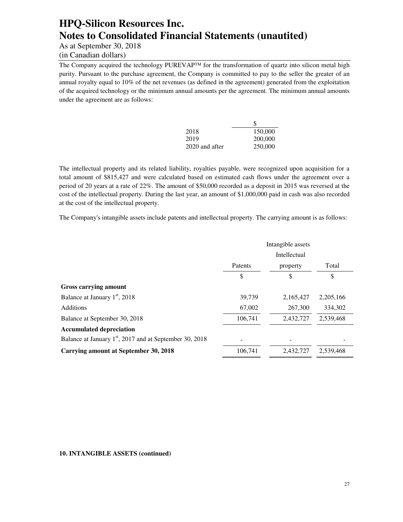As at September 30, 2018

(in Canadian dollars)

The Company acquired the technology PUREVAP<sup>™</sup> for the transformation of quartz into silicon metal high purity. Pursuant to the purchase agreement, the Company is committed to pay to the seller the greater of an annual royalty equal to 10% of the net revenues (as defined in the agreement) generated from the exploitation of the acquired technology or the minimum annual amounts per the agreement. The minimum annual amounts under the agreement are as follows:

|                | S       |
|----------------|---------|
| 2018           | 150,000 |
| 2019           | 200,000 |
| 2020 and after | 250,000 |

The intellectual property and its related liability, royalties payable, were recognized upon acquisition for a total amount of \$815,427 and were calculated based on estimated cash flows under the agreement over a period of 20 years at a rate of 22%. The amount of \$50,000 recorded as a deposit in 2015 was reversed at the cost of the intellectual property. During the last year, an amount of \$1,000,000 paid in cash was also recorded at the cost of the intellectual property.

The Company's intangible assets include patents and intellectual property. The carrying amount is as follows:

|                                                                     | Intangible assets<br>Intellectual |           |           |
|---------------------------------------------------------------------|-----------------------------------|-----------|-----------|
|                                                                     | Patents                           | property  | Total     |
|                                                                     | \$                                | \$        | \$        |
| Gross carrying amount                                               |                                   |           |           |
| Balance at January 1 <sup>st</sup> , 2018                           | 39,739                            | 2,165,427 | 2,205,166 |
| Additions                                                           | 67,002                            | 267,300   | 334.302   |
| Balance at September 30, 2018                                       | 106,741                           | 2,432,727 | 2,539,468 |
| <b>Accumulated depreciation</b>                                     |                                   |           |           |
| Balance at January 1 <sup>st</sup> , 2017 and at September 30, 2018 |                                   |           |           |
| <b>Carrying amount at September 30, 2018</b>                        | 106,741                           | 2,432,727 | 2,539,468 |

#### **10. INTANGIBLE ASSETS (continued)**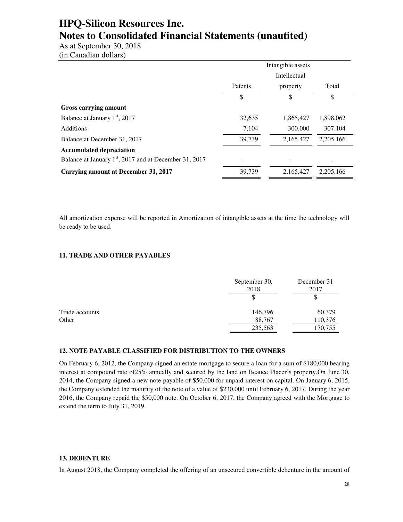As at September 30, 2018 (in Canadian dollars)

|                                                                    | Intangible assets |           |           |
|--------------------------------------------------------------------|-------------------|-----------|-----------|
|                                                                    | Intellectual      |           |           |
|                                                                    | Patents           | property  | Total     |
|                                                                    | \$                | \$        | \$        |
| Gross carrying amount                                              |                   |           |           |
| Balance at January 1 <sup>st</sup> , 2017                          | 32,635            | 1,865,427 | 1,898,062 |
| <b>Additions</b>                                                   | 7.104             | 300,000   | 307.104   |
| Balance at December 31, 2017                                       | 39,739            | 2,165,427 | 2.205.166 |
| <b>Accumulated depreciation</b>                                    |                   |           |           |
| Balance at January 1 <sup>st</sup> , 2017 and at December 31, 2017 |                   |           |           |
| <b>Carrying amount at December 31, 2017</b>                        | 39,739            | 2,165,427 | 2.205.166 |

All amortization expense will be reported in Amortization of intangible assets at the time the technology will be ready to be used.

#### **11. TRADE AND OTHER PAYABLES**

|                | September 30,<br>2018 | December 31<br>2017 |
|----------------|-----------------------|---------------------|
|                |                       | \$                  |
| Trade accounts | 146,796               | 60,379              |
| Other          | 88,767                | 110,376             |
|                | 235,563               | 170,755             |

#### **12. NOTE PAYABLE CLASSIFIED FOR DISTRIBUTION TO THE OWNERS**

On February 6, 2012, the Company signed an estate mortgage to secure a loan for a sum of \$180,000 bearing interest at compound rate of25% annually and secured by the land on Beauce Placer's property.On June 30, 2014, the Company signed a new note payable of \$50,000 for unpaid interest on capital. On January 6, 2015, the Company extended the maturity of the note of a value of \$230,000 until February 6, 2017. During the year 2016, the Company repaid the \$50,000 note. On October 6, 2017, the Company agreed with the Mortgage to extend the term to July 31, 2019.

#### **13. DEBENTURE**

In August 2018, the Company completed the offering of an unsecured convertible debenture in the amount of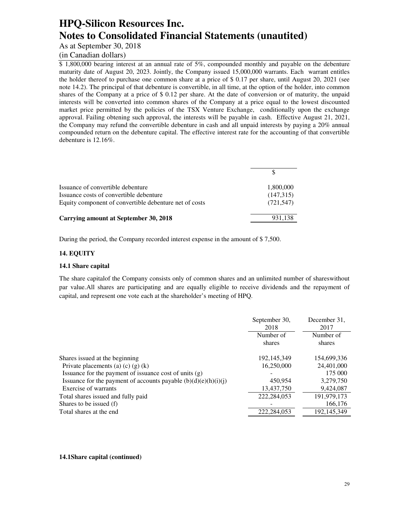As at September 30, 2018

### (in Canadian dollars)

\$ 1,800,000 bearing interest at an annual rate of 5%, compounded monthly and payable on the debenture maturity date of August 20, 2023. Jointly, the Company issued 15,000,000 warrants. Each warrant entitles the holder thereof to purchase one common share at a price of \$ 0.17 per share, until August 20, 2021 (see note 14.2). The principal of that debenture is convertible, in all time, at the option of the holder, into common shares of the Company at a price of \$ 0.12 per share. At the date of conversion or of maturity, the unpaid interests will be converted into common shares of the Company at a price equal to the lowest discounted market price permitted by the policies of the TSX Venture Exchange, conditionally upon the exchange approval. Failing obtening such approval, the interests will be payable in cash. Effective August 21, 2021, the Company may refund the convertible debenture in cash and all unpaid interests by paying a 20% annual compounded return on the debenture capital. The effective interest rate for the accounting of that convertible debenture is 12.16%.

| Issuance of convertible debenture                      | 1,800,000  |
|--------------------------------------------------------|------------|
| Issuance costs of convertible debenture                | (147,315)  |
| Equity component of convertible debenture net of costs | (721, 547) |
| Carrying amount at September 30, 2018                  | 931,138    |

During the period, the Company recorded interest expense in the amount of \$ 7,500.

#### **14. EQUITY**

#### **14.1 Share capital**

The share capitalof the Company consists only of common shares and an unlimited number of shareswithout par value.All shares are participating and are equally eligible to receive dividends and the repayment of capital, and represent one vote each at the shareholder's meeting of HPQ.

|                                                                   | September 30,<br>2018 | December 31.<br>2017 |
|-------------------------------------------------------------------|-----------------------|----------------------|
|                                                                   | Number of             | Number of            |
|                                                                   | shares                | shares               |
| Shares issued at the beginning                                    | 192, 145, 349         | 154,699,336          |
| Private placements (a) $(c)$ $(g)$ $(k)$                          | 16,250,000            | 24,401,000           |
| Issuance for the payment of issuance cost of units $(g)$          |                       | 175 000              |
| Issuance for the payment of accounts payable $(b)(d)(e)(h)(i)(i)$ | 450,954               | 3,279,750            |
| Exercise of warrants                                              | 13,437,750            | 9,424,087            |
| Total shares issued and fully paid                                | 222, 284, 053         | 191,979,173          |
| Shares to be issued (f)                                           |                       | 166,176              |
| Total shares at the end                                           | 222,284,053           | 192,145,349          |
|                                                                   |                       |                      |

#### **14.1Share capital (continued)**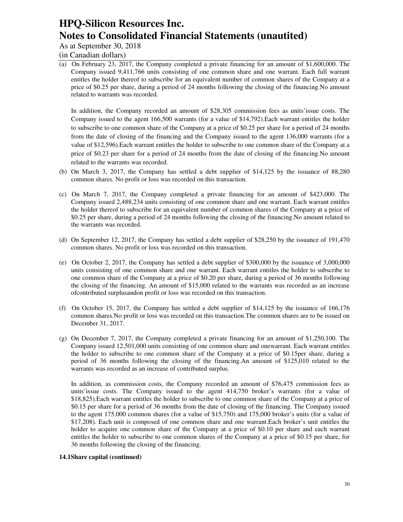As at September 30, 2018

(in Canadian dollars)

(a) On February 23, 2017, the Company completed a private financing for an amount of \$1,600,000. The Company issued 9,411,766 units consisting of one common share and one warrant. Each full warrant entitles the holder thereof to subscribe for an equivalent number of common shares of the Company at a price of \$0.25 per share, during a period of 24 months following the closing of the financing.No amount related to warrants was recorded.

In addition, the Company recorded an amount of \$28,305 commission fees as units'issue costs. The Company issued to the agent 166,500 warrants (for a value of \$14,792).Each warrant entitles the holder to subscribe to one common share of the Company at a price of \$0.25 per share for a period of 24 months from the date of closing of the financing and the Company issued to the agent 136,000 warrants (for a value of \$12,596).Each warrant entitles the holder to subscribe to one common share of the Company at a price of \$0.23 per share for a period of 24 months from the date of closing of the financing.No amount related to the warrants was recorded.

- (b) On March 3, 2017, the Company has settled a debt supplier of \$14,125 by the issuance of 88,280 common shares. No profit or loss was recorded on this transaction.
- (c) On March 7, 2017, the Company completed a private financing for an amount of \$423,000. The Company issued 2,488,234 units consisting of one common share and one warrant. Each warrant entitles the holder thereof to subscribe for an equivalent number of common shares of the Company at a price of \$0.25 per share, during a period of 24 months following the closing of the financing.No amount related to the warrants was recorded.
- (d) On September 12, 2017, the Company has settled a debt supplier of \$28,250 by the issuance of 191,470 common shares. No profit or loss was recorded on this transaction.
- (e) On October 2, 2017, the Company has settled a debt supplier of \$300,000 by the issuance of 3,000,000 units consisting of one common share and one warrant. Each warrant entitles the holder to subscribe to one common share of the Company at a price of \$0.20 per share, during a period of 36 months following the closing of the financing. An amount of \$15,000 related to the warrants was recorded as an increase ofcontributed surplusandon profit or loss was recorded on this transaction.
- (f) On October 15, 2017, the Company has settled a debt supplier of \$14,125 by the issuance of 166,176 common shares.No profit or loss was recorded on this transaction.The common shares are to be issued on December 31, 2017.
- (g) On December 7, 2017, the Company completed a private financing for an amount of \$1,250,100. The Company issued 12,501,000 units consisting of one common share and onewarrant. Each warrant entitles the holder to subscribe to one common share of the Company at a price of \$0.15per share, during a period of 36 months following the closing of the financing.An amount of \$125,010 related to the warrants was recorded as an increase of contributed surplus.

In addition, as commission costs, the Company recorded an amount of \$76,475 commission fees as units'issue costs. The Company issued to the agent 414,750 broker's warrants (for a value of \$18,825).Each warrant entitles the holder to subscribe to one common share of the Company at a price of \$0.15 per share for a period of 36 months from the date of closing of the financing. The Company issued to the agent 175,000 common shares (for a value of \$15,750) and 175,000 broker's units (for a value of \$17,208). Each unit is composed of one common share and one warrant.Each broker's unit entitles the holder to acquire one common share of the Company at a price of \$0.10 per share and each warrant entitles the holder to subscribe to one common shares of the Company at a price of \$0.15 per share, for 36 months following the closing of the financing.

#### **14.1Share capital (continued)**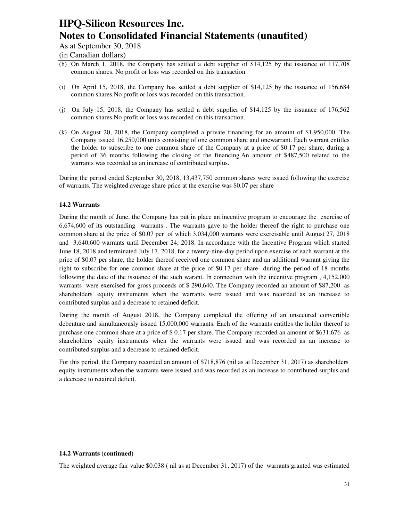As at September 30, 2018

(in Canadian dollars)

- (h) On March 1, 2018, the Company has settled a debt supplier of \$14,125 by the issuance of 117,708 common shares. No profit or loss was recorded on this transaction.
- (i) On April 15, 2018, the Company has settled a debt supplier of \$14,125 by the issuance of 156,684 common shares.No profit or loss was recorded on this transaction.
- (j) On July 15, 2018, the Company has settled a debt supplier of \$14,125 by the issuance of 176,562 common shares.No profit or loss was recorded on this transaction.
- (k) On August 20, 2018, the Company completed a private financing for an amount of \$1,950,000. The Company issued 16,250,000 units consisting of one common share and onewarrant. Each warrant entitles the holder to subscribe to one common share of the Company at a price of \$0.17 per share, during a period of 36 months following the closing of the financing.An amount of \$487,500 related to the warrants was recorded as an increase of contributed surplus.

During the period ended September 30, 2018, 13,437,750 common shares were issued following the exercise of warrants. The weighted average share price at the exercise was \$0.07 per share

#### **14.2 Warrants**

During the month of June, the Company has put in place an incentive program to encourage the exercise of 6,674,600 of its outstanding warrants . The warrants gave to the holder thereof the right to purchase one common share at the price of \$0.07 per of which 3,034,000 warrants were exercisable until August 27, 2018 and 3,640,600 warrants until December 24, 2018. In accordance with the Incentive Program which started June 18, 2018 and terminated July 17, 2018, for a twenty-nine-day period,upon exercise of each warrant at the price of \$0.07 per share, the holder thereof received one common share and an additional warrant giving the right to subscribe for one common share at the price of \$0.17 per share during the period of 18 months following the date of the issuance of the such warant. In connection with the incentive program , 4,152,000 warrants were exercised for gross proceeds of \$ 290,640. The Company recorded an amount of \$87,200 as shareholders' equity instruments when the warrants were issued and was recorded as an increase to contributed surplus and a decrease to retained deficit.

During the month of August 2018, the Company completed the offering of an unsecured convertible debenture and simultaneously issued 15,000,000 warrants. Each of the warrants entitles the holder thereof to purchase one common share at a price of \$ 0.17 per share. The Company recorded an amount of \$631,676 as shareholders' equity instruments when the warrants were issued and was recorded as an increase to contributed surplus and a decrease to retained deficit.

For this period, the Company recorded an amount of \$718,876 (nil as at December 31, 2017) as shareholders' equity instruments when the warrants were issued and was recorded as an increase to contributed surplus and a decrease to retained deficit.

#### **14.2 Warrants (continued)**

The weighted average fair value \$0.038 ( nil as at December 31, 2017) of the warrants granted was estimated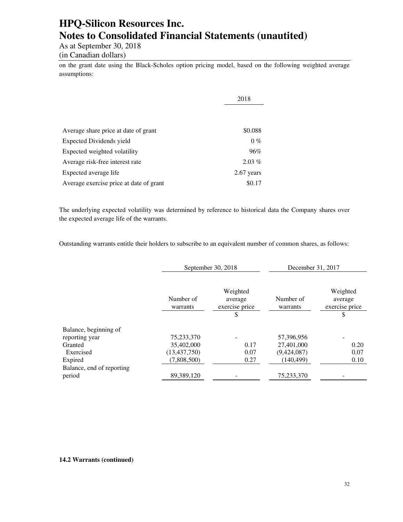As at September 30, 2018

(in Canadian dollars)

on the grant date using the Black-Scholes option pricing model, based on the following weighted average assumptions:

|                                         | 2018       |
|-----------------------------------------|------------|
|                                         |            |
| Average share price at date of grant    | \$0.088    |
| Expected Dividends yield                | $0\%$      |
| Expected weighted volatility            | 96%        |
| Average risk-free interest rate         | $2.03\%$   |
| Expected average life                   | 2.67 years |
| Average exercise price at date of grant | \$0.17     |

The underlying expected volatility was determined by reference to historical data the Company shares over the expected average life of the warrants.

Outstanding warrants entitle their holders to subscribe to an equivalent number of common shares, as follows:

|                           | September 30, 2018    |                                            | December 31, 2017     |                                            |
|---------------------------|-----------------------|--------------------------------------------|-----------------------|--------------------------------------------|
|                           | Number of<br>warrants | Weighted<br>average<br>exercise price<br>S | Number of<br>warrants | Weighted<br>average<br>exercise price<br>S |
| Balance, beginning of     |                       |                                            |                       |                                            |
| reporting year            | 75,233,370            |                                            | 57,396,956            |                                            |
| Granted                   | 35,402,000            | 0.17                                       | 27,401,000            | 0.20                                       |
| Exercised                 | (13, 437, 750)        | 0.07                                       | (9,424,087)           | 0.07                                       |
| Expired                   | (7,808,500)           | 0.27                                       | (140, 499)            | 0.10                                       |
| Balance, end of reporting |                       |                                            |                       |                                            |
| period                    | 89,389,120            |                                            | 75,233,370            |                                            |

#### **14.2 Warrants (continued)**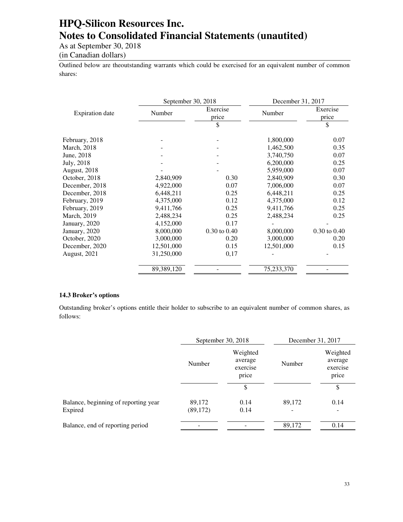As at September 30, 2018

(in Canadian dollars)

Outlined below are theoutstanding warrants which could be exercised for an equivalent number of common shares:

|                                  |                  |                                         | December 31, 2017 |  |
|----------------------------------|------------------|-----------------------------------------|-------------------|--|
| <b>Expiration</b> date<br>Number |                  | Number                                  | Exercise<br>price |  |
|                                  | \$               |                                         | \$                |  |
|                                  |                  | 1,800,000                               | 0.07              |  |
|                                  |                  | 1,462,500                               | 0.35              |  |
|                                  |                  | 3,740,750                               | 0.07              |  |
|                                  |                  | 6,200,000                               | 0.25              |  |
|                                  |                  | 5,959,000                               | 0.07              |  |
| 2,840,909                        | 0.30             | 2,840,909                               | 0.30              |  |
| 4,922,000                        | 0.07             | 7,006,000                               | 0.07              |  |
| 6,448,211                        | 0.25             | 6,448,211                               | 0.25              |  |
| 4,375,000                        | 0.12             | 4,375,000                               | 0.12              |  |
| 9,411,766                        | 0.25             | 9,411,766                               | 0.25              |  |
| 2,488,234                        | 0.25             | 2,488,234                               | 0.25              |  |
| 4,152,000                        | 0.17             |                                         |                   |  |
| 8,000,000                        | $0.30$ to $0.40$ | 8,000,000                               | $0.30$ to $0.40$  |  |
| 3,000,000                        | 0.20             | 3,000,000                               | 0.20              |  |
| 12,501,000                       | 0.15             | 12,501,000                              | 0.15              |  |
| 31,250,000                       | 0,17             |                                         |                   |  |
| 89,389,120                       |                  | 75,233,370                              |                   |  |
|                                  |                  | September 30, 2018<br>Exercise<br>price |                   |  |

#### **14.3 Broker's options**

Outstanding broker's options entitle their holder to subscribe to an equivalent number of common shares, as follows:

|                                                 | September 30, 2018  |                                          | December 31, 2017 |                                          |
|-------------------------------------------------|---------------------|------------------------------------------|-------------------|------------------------------------------|
|                                                 | Number              | Weighted<br>average<br>exercise<br>price | Number            | Weighted<br>average<br>exercise<br>price |
|                                                 |                     | \$                                       |                   | \$                                       |
| Balance, beginning of reporting year<br>Expired | 89,172<br>(89, 172) | 0.14<br>0.14                             | 89,172<br>-       | 0.14<br>$\overline{\phantom{a}}$         |
| Balance, end of reporting period                |                     |                                          | 89,172            | 0.14                                     |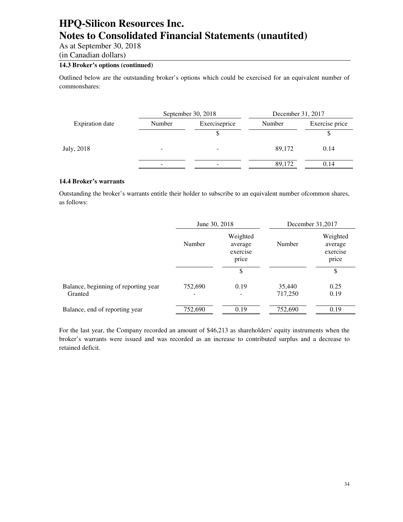As at September 30, 2018

(in Canadian dollars)

### **14.3 Broker's options (continued)**

Outlined below are the outstanding broker's options which could be exercised for an equivalent number of commonshares:

|                                                   | December 31, 2017 |                |
|---------------------------------------------------|-------------------|----------------|
| Exerciseprice<br><b>Expiration</b> date<br>Number | Number            | Exercise price |
|                                                   |                   |                |
| July, 2018                                        | 89,172            | 0.14           |
| -                                                 | 89,172            | 0.14           |

#### **14.4 Broker's warrants**

Outstanding the broker's warrants entitle their holder to subscribe to an equivalent number ofcommon shares, as follows:

|                                                 | June 30, 2018 |                                          | December 31,2017  |                                          |
|-------------------------------------------------|---------------|------------------------------------------|-------------------|------------------------------------------|
|                                                 | Number        | Weighted<br>average<br>exercise<br>price |                   | Weighted<br>average<br>exercise<br>price |
|                                                 |               | \$                                       |                   | \$                                       |
| Balance, beginning of reporting year<br>Granted | 752,690       | 0.19                                     | 35,440<br>717,250 | 0.25<br>0.19                             |
| Balance, end of reporting year                  | 752,690       | 0.19                                     | 752,690           | 0.19                                     |

For the last year, the Company recorded an amount of \$46,213 as shareholders' equity instruments when the broker's warrants were issued and was recorded as an increase to contributed surplus and a decrease to retained deficit.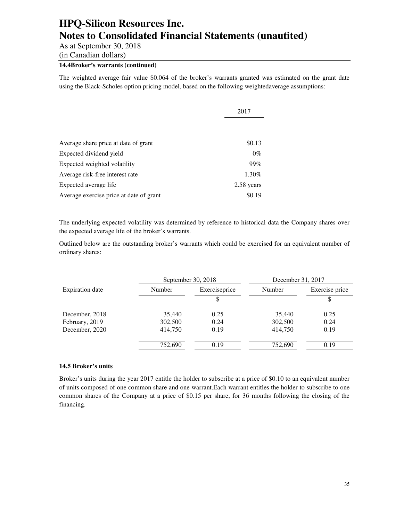As at September 30, 2018

(in Canadian dollars)

### **14.4Broker's warrants (continued)**

The weighted average fair value \$0.064 of the broker's warrants granted was estimated on the grant date using the Black-Scholes option pricing model, based on the following weightedaverage assumptions:

|                                         | 2017       |
|-----------------------------------------|------------|
|                                         |            |
|                                         |            |
| Average share price at date of grant    | \$0.13     |
| Expected dividend yield                 | $0\%$      |
| Expected weighted volatility            | 99%        |
| Average risk-free interest rate         | 1.30%      |
| Expected average life                   | 2.58 years |
| Average exercise price at date of grant | \$0.19     |

The underlying expected volatility was determined by reference to historical data the Company shares over the expected average life of the broker's warrants.

Outlined below are the outstanding broker's warrants which could be exercised for an equivalent number of ordinary shares:

| September 30, 2018     |         |               | December 31, 2017 |                |  |
|------------------------|---------|---------------|-------------------|----------------|--|
| <b>Expiration</b> date | Number  | Exerciseprice | Number            | Exercise price |  |
|                        |         | \$            |                   | \$             |  |
| December, 2018         | 35,440  | 0.25          | 35,440            | 0.25           |  |
| February, 2019         | 302,500 | 0.24          | 302,500           | 0.24           |  |
| December, 2020         | 414,750 | 0.19          | 414,750           | 0.19           |  |
|                        | 752,690 | 0.19          | 752,690           | 0.19           |  |

#### **14.5 Broker's units**

Broker's units during the year 2017 entitle the holder to subscribe at a price of \$0.10 to an equivalent number of units composed of one common share and one warrant.Each warrant entitles the holder to subscribe to one common shares of the Company at a price of \$0.15 per share, for 36 months following the closing of the financing.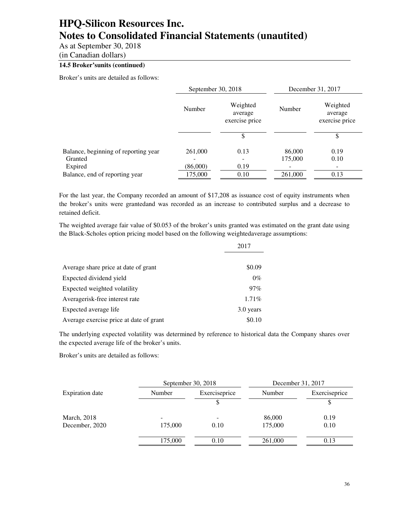As at September 30, 2018

(in Canadian dollars)

### **14.5 Broker'sunits (continued)**

Broker's units are detailed as follows:

|                                      | September 30, 2018 |                                       |         | December 31, 2017                     |
|--------------------------------------|--------------------|---------------------------------------|---------|---------------------------------------|
|                                      | Number             | Weighted<br>average<br>exercise price | Number  | Weighted<br>average<br>exercise price |
|                                      |                    |                                       |         | \$                                    |
| Balance, beginning of reporting year | 261,000            | 0.13                                  | 86,000  | 0.19                                  |
| Granted                              |                    |                                       | 175,000 | 0.10                                  |
| Expired                              | (86,000)           | 0.19                                  |         | -                                     |
| Balance, end of reporting year       | 175,000            | 0.10                                  | 261,000 | 0.13                                  |

For the last year, the Company recorded an amount of \$17,208 as issuance cost of equity instruments when the broker's units were grantedand was recorded as an increase to contributed surplus and a decrease to retained deficit.

The weighted average fair value of \$0.053 of the broker's units granted was estimated on the grant date using the Black-Scholes option pricing model based on the following weightedaverage assumptions:

|                                         | 2017      |
|-----------------------------------------|-----------|
|                                         |           |
| Average share price at date of grant    | \$0.09    |
| Expected dividend yield                 | $0\%$     |
| Expected weighted volatility            | $97\%$    |
| Averagerisk-free interest rate          | 1.71%     |
| Expected average life                   | 3.0 years |
| Average exercise price at date of grant | \$0.10    |

The underlying expected volatility was determined by reference to historical data the Company shares over the expected average life of the broker's units.

Broker's units are detailed as follows:

|                 |         | September 30, 2018 |         | December 31, 2017 |
|-----------------|---------|--------------------|---------|-------------------|
| Expiration date | Number  | Exerciseprice      | Number  | Exerciseprice     |
|                 |         |                    |         |                   |
| March, 2018     |         |                    | 86,000  | 0.19              |
| December, 2020  | 175,000 | 0.10               | 175,000 | 0.10              |
|                 | 175,000 | 0.10               | 261,000 | 0.13              |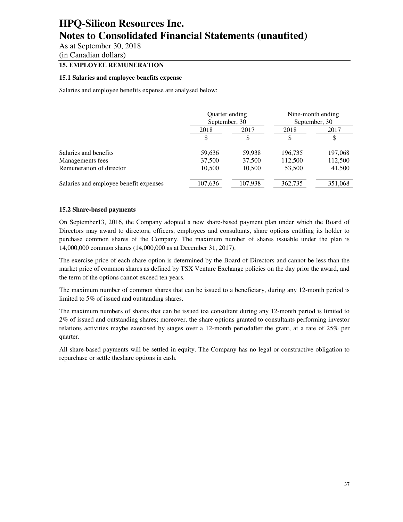As at September 30, 2018

(in Canadian dollars)

### **15. EMPLOYEE REMUNERATION**

#### **15.1 Salaries and employee benefits expense**

Salaries and employee benefits expense are analysed below:

|                                        | Quarter ending<br>September, 30 |         | Nine-month ending<br>September, 30 |         |
|----------------------------------------|---------------------------------|---------|------------------------------------|---------|
|                                        | 2018                            | 2017    | 2018                               | 2017    |
|                                        |                                 | \$      | \$                                 | \$      |
| Salaries and benefits                  | 59,636                          | 59,938  | 196,735                            | 197,068 |
| Managements fees                       | 37,500                          | 37,500  | 112,500                            | 112,500 |
| Remuneration of director               | 10,500                          | 10,500  | 53,500                             | 41,500  |
| Salaries and employee benefit expenses | 107,636                         | 107,938 | 362,735                            | 351,068 |

#### **15.2 Share-based payments**

On September13, 2016, the Company adopted a new share-based payment plan under which the Board of Directors may award to directors, officers, employees and consultants, share options entitling its holder to purchase common shares of the Company. The maximum number of shares issuable under the plan is 14,000,000 common shares (14,000,000 as at December 31, 2017).

The exercise price of each share option is determined by the Board of Directors and cannot be less than the market price of common shares as defined by TSX Venture Exchange policies on the day prior the award, and the term of the options cannot exceed ten years.

The maximum number of common shares that can be issued to a beneficiary, during any 12-month period is limited to 5% of issued and outstanding shares.

The maximum numbers of shares that can be issued toa consultant during any 12-month period is limited to 2% of issued and outstanding shares; moreover, the share options granted to consultants performing investor relations activities maybe exercised by stages over a 12-month periodafter the grant, at a rate of 25% per quarter.

All share-based payments will be settled in equity. The Company has no legal or constructive obligation to repurchase or settle theshare options in cash.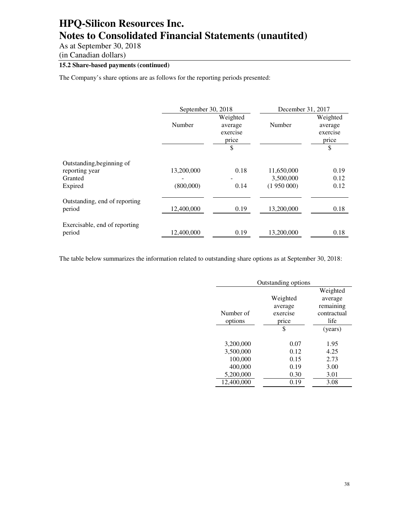As at September 30, 2018

(in Canadian dollars)

### **15.2 Share-based payments (continued)**

The Company's share options are as follows for the reporting periods presented:

|                               | September 30, 2018 |                                                | December 31, 2017 |                                                |  |
|-------------------------------|--------------------|------------------------------------------------|-------------------|------------------------------------------------|--|
|                               | Number             | Weighted<br>average<br>exercise<br>price<br>\$ | Number            | Weighted<br>average<br>exercise<br>price<br>\$ |  |
| Outstanding, beginning of     |                    |                                                |                   |                                                |  |
| reporting year                | 13,200,000         | 0.18                                           | 11,650,000        | 0.19                                           |  |
| Granted                       |                    |                                                | 3,500,000         | 0.12                                           |  |
| Expired                       | (800,000)          | 0.14                                           | (1950000)         | 0.12                                           |  |
| Outstanding, end of reporting |                    |                                                |                   |                                                |  |
| period                        | 12,400,000         | 0.19                                           | 13,200,000        | 0.18                                           |  |
| Exercisable, end of reporting |                    |                                                |                   |                                                |  |
| period                        | 12,400,000         | 0.19                                           | 13,200,000        | 0.18                                           |  |

The table below summarizes the information related to outstanding share options as at September 30, 2018:

| Outstanding options |          |             |  |  |
|---------------------|----------|-------------|--|--|
|                     |          | Weighted    |  |  |
|                     | Weighted | average     |  |  |
|                     | average  | remaining   |  |  |
| Number of           | exercise | contractual |  |  |
| options             | price    | life        |  |  |
|                     | \$       | (years)     |  |  |
|                     |          |             |  |  |
| 3,200,000           | 0.07     | 1.95        |  |  |
| 3,500,000           | 0.12     | 4.25        |  |  |
| 100,000             | 0.15     | 2.73        |  |  |
| 400,000             | 0.19     | 3.00        |  |  |
| 5,200,000           | 0.30     | 3.01        |  |  |
| 12,400,000          | 0.19     | 3.08        |  |  |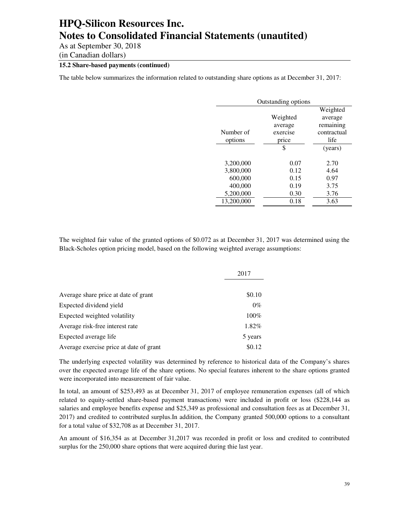As at September 30, 2018

(in Canadian dollars)

### **15.2 Share-based payments (continued)**

The table below summarizes the information related to outstanding share options as at December 31, 2017:

| Outstanding options |          |             |  |  |
|---------------------|----------|-------------|--|--|
|                     |          | Weighted    |  |  |
|                     | Weighted | average     |  |  |
|                     | average  | remaining   |  |  |
| Number of           | exercise | contractual |  |  |
| options             | price    | life        |  |  |
|                     | \$       | (years)     |  |  |
|                     |          |             |  |  |
| 3,200,000           | 0.07     | 2.70        |  |  |
| 3,800,000           | 0.12     | 4.64        |  |  |
| 600,000             | 0.15     | 0.97        |  |  |
| 400,000             | 0.19     | 3.75        |  |  |
| 5,200,000           | 0.30     | 3.76        |  |  |
| 13,200,000          | 0.18     | 3.63        |  |  |

The weighted fair value of the granted options of \$0.072 as at December 31, 2017 was determined using the Black-Scholes option pricing model, based on the following weighted average assumptions:

|                                         | 2017    |  |
|-----------------------------------------|---------|--|
|                                         |         |  |
| Average share price at date of grant    | \$0.10  |  |
| Expected dividend yield                 | $0\%$   |  |
| Expected weighted volatility            | $100\%$ |  |
| Average risk-free interest rate         | 1.82%   |  |
| Expected average life                   | 5 years |  |
| Average exercise price at date of grant | \$0.12  |  |

The underlying expected volatility was determined by reference to historical data of the Company's shares over the expected average life of the share options. No special features inherent to the share options granted were incorporated into measurement of fair value.

In total, an amount of \$253,493 as at December 31, 2017 of employee remuneration expenses (all of which related to equity-settled share-based payment transactions) were included in profit or loss (\$228,144 as salaries and employee benefits expense and \$25,349 as professional and consultation fees as at December 31, 2017) and credited to contributed surplus.In addition, the Company granted 500,000 options to a consultant for a total value of \$32,708 as at December 31, 2017.

An amount of \$16,354 as at December 31,2017 was recorded in profit or loss and credited to contributed surplus for the 250,000 share options that were acquired during thie last year.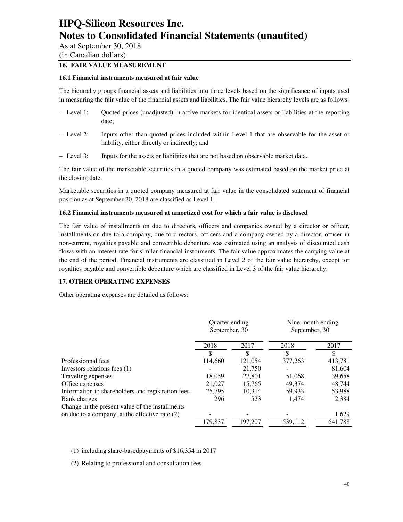As at September 30, 2018

(in Canadian dollars)

### **16. FAIR VALUE MEASUREMENT**

#### **16.1 Financial instruments measured at fair value**

The hierarchy groups financial assets and liabilities into three levels based on the significance of inputs used in measuring the fair value of the financial assets and liabilities. The fair value hierarchy levels are as follows:

- Level 1: Quoted prices (unadjusted) in active markets for identical assets or liabilities at the reporting date;
- Level 2: Inputs other than quoted prices included within Level 1 that are observable for the asset or liability, either directly or indirectly; and
- Level 3: Inputs for the assets or liabilities that are not based on observable market data.

The fair value of the marketable securities in a quoted company was estimated based on the market price at the closing date.

Marketable securities in a quoted company measured at fair value in the consolidated statement of financial position as at September 30, 2018 are classified as Level 1.

#### **16.2 Financial instruments measured at amortized cost for which a fair value is disclosed**

The fair value of installments on due to directors, officers and companies owned by a director or officer, installments on due to a company, due to directors, officers and a company owned by a director, officer in non-current, royalties payable and convertible debenture was estimated using an analysis of discounted cash flows with an interest rate for similar financial instruments. The fair value approximates the carrying value at the end of the period. Financial instruments are classified in Level 2 of the fair value hierarchy, except for royalties payable and convertible debenture which are classified in Level 3 of the fair value hierarchy.

#### **17. OTHER OPERATING EXPENSES**

Other operating expenses are detailed as follows:

|                                                   | Quarter ending<br>September, 30 |         | Nine-month ending<br>September, 30 |         |
|---------------------------------------------------|---------------------------------|---------|------------------------------------|---------|
|                                                   | 2018                            | 2017    | 2018                               | 2017    |
|                                                   | \$                              | \$      | \$                                 | S       |
| Professionnal fees                                | 114,660                         | 121,054 | 377,263                            | 413,781 |
| Investors relations fees (1)                      |                                 | 21,750  |                                    | 81,604  |
| Traveling expenses                                | 18.059                          | 27,801  | 51,068                             | 39,658  |
| Office expenses                                   | 21,027                          | 15,765  | 49,374                             | 48,744  |
| Information to shareholders and registration fees | 25,795                          | 10.314  | 59,933                             | 53,988  |
| Bank charges                                      | 296                             | 523     | 1.474                              | 2,384   |
| Change in the present value of the installments   |                                 |         |                                    |         |
| on due to a company, at the effective rate $(2)$  |                                 |         |                                    | 1,629   |
|                                                   | 179,837                         | 197.207 | 539.112                            | 641.788 |

#### (1) including share-basedpayments of \$16,354 in 2017

(2) Relating to professional and consultation fees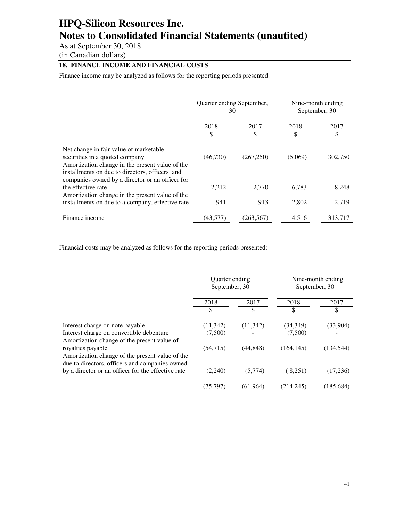As at September 30, 2018

(in Canadian dollars)

### **18. FINANCE INCOME AND FINANCIAL COSTS**

Finance income may be analyzed as follows for the reporting periods presented:

|                                                                                                                                                                                                                                  | Quarter ending September,<br>30 |              | Nine-month ending<br>September, 30 |         |
|----------------------------------------------------------------------------------------------------------------------------------------------------------------------------------------------------------------------------------|---------------------------------|--------------|------------------------------------|---------|
|                                                                                                                                                                                                                                  | 2018                            | 2017<br>2018 | 2017                               |         |
|                                                                                                                                                                                                                                  | \$                              | \$           | \$                                 | \$      |
| Net change in fair value of marketable<br>securities in a quoted company<br>Amortization change in the present value of the<br>installments on due to directors, officers and<br>companies owned by a director or an officer for | (46,730)                        | (267,250)    | (5,069)                            | 302,750 |
| the effective rate                                                                                                                                                                                                               | 2,212                           | 2.770        | 6,783                              | 8,248   |
| Amortization change in the present value of the<br>installments on due to a company, effective rate                                                                                                                              | 941                             | 913          | 2,802                              | 2,719   |
| Finance income                                                                                                                                                                                                                   | (43.577)                        | (263.567)    | 4.516                              | 313.717 |

Financial costs may be analyzed as follows for the reporting periods presented:

|                                                                                                                        | Quarter ending<br>September, 30 |           | Nine-month ending<br>September, 30 |            |
|------------------------------------------------------------------------------------------------------------------------|---------------------------------|-----------|------------------------------------|------------|
|                                                                                                                        | 2018                            | 2017      | 2018                               | 2017       |
|                                                                                                                        | \$                              | S         | \$                                 | \$         |
| Interest charge on note payable                                                                                        | (11, 342)                       | (11, 342) | (34, 349)                          | (33,904)   |
| Interest charge on convertible debenture<br>Amortization change of the present value of                                | (7,500)                         |           | (7,500)                            |            |
| royalties payable<br>Amortization change of the present value of the<br>due to directors, officers and companies owned | (54,715)                        | (44, 848) | (164, 145)                         | (134, 544) |
| by a director or an officer for the effective rate                                                                     | (2,240)                         | (5,774)   | (8,251)                            | (17,236)   |
|                                                                                                                        | (75, 797)                       | (61,964)  | (214, 245)                         | (185, 684) |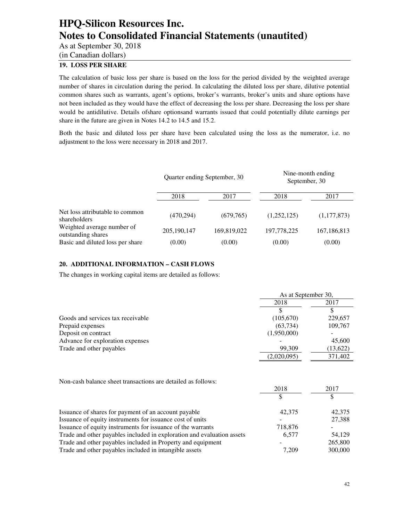As at September 30, 2018

(in Canadian dollars)

### **19. LOSS PER SHARE**

The calculation of basic loss per share is based on the loss for the period divided by the weighted average number of shares in circulation during the period. In calculating the diluted loss per share, dilutive potential common shares such as warrants, agent's options, broker's warrants, broker's units and share options have not been included as they would have the effect of decreasing the loss per share. Decreasing the loss per share would be antidilutive. Details ofshare optionsand warrants issued that could potentially dilute earnings per share in the future are given in Notes 14.2 to 14.5 and 15.2.

Both the basic and diluted loss per share have been calculated using the loss as the numerator, i.e. no adjustment to the loss were necessary in 2018 and 2017.

|                                                  | Quarter ending September, 30 |             | Nine-month ending<br>September, 30 |               |  |
|--------------------------------------------------|------------------------------|-------------|------------------------------------|---------------|--|
|                                                  | 2018                         | 2017        | 2018                               | 2017          |  |
| Net loss attributable to common<br>shareholders  | (470, 294)                   | (679, 765)  | (1,252,125)                        | (1,177,873)   |  |
| Weighted average number of<br>outstanding shares | 205,190,147                  | 169,819,022 | 197,778,225                        | 167, 186, 813 |  |
| Basic and diluted loss per share                 | (0.00)                       | (0.00)      | (0.00)                             | (0.00)        |  |

### **20. ADDITIONAL INFORMATION – CASH FLOWS**

The changes in working capital items are detailed as follows:

|                                   | As at September 30, |          |  |
|-----------------------------------|---------------------|----------|--|
|                                   | 2018                | 2017     |  |
|                                   |                     |          |  |
| Goods and services tax receivable | (105,670)           | 229,657  |  |
| Prepaid expenses                  | (63, 734)           | 109,767  |  |
| Deposit on contract               | (1,950,000)         |          |  |
| Advance for exploration expenses  |                     | 45,600   |  |
| Trade and other payables          | 99,309              | (13,622) |  |
|                                   | (2,020,095)         | 371,402  |  |

Non-cash balance sheet transactions are detailed as follows:

|                                                                        | 2018    | 2017    |
|------------------------------------------------------------------------|---------|---------|
|                                                                        |         |         |
| Issuance of shares for payment of an account payable                   | 42,375  | 42,375  |
| Issuance of equity instruments for issuance cost of units              |         | 27,388  |
| Issuance of equity instruments for issuance of the warrants            | 718,876 |         |
| Trade and other payables included in exploration and evaluation assets | 6.577   | 54.129  |
| Trade and other payables included in Property and equipment            |         | 265,800 |
| Trade and other payables included in intangible assets                 | 7.209   | 300,000 |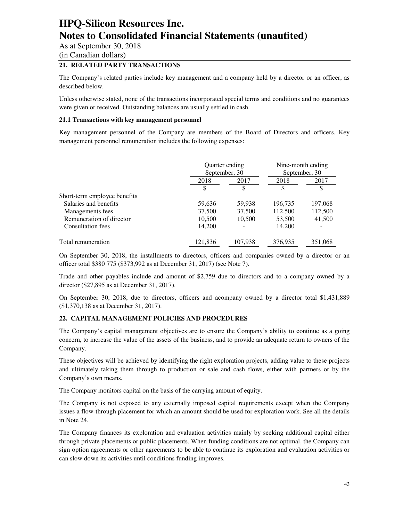As at September 30, 2018

(in Canadian dollars)

### **21. RELATED PARTY TRANSACTIONS**

The Company's related parties include key management and a company held by a director or an officer, as described below.

Unless otherwise stated, none of the transactions incorporated special terms and conditions and no guarantees were given or received. Outstanding balances are usually settled in cash.

#### **21.1 Transactions with key management personnel**

Key management personnel of the Company are members of the Board of Directors and officers. Key management personnel remuneration includes the following expenses:

|                              |         | Quarter ending<br>September, 30 |         | Nine-month ending<br>September, 30 |  |
|------------------------------|---------|---------------------------------|---------|------------------------------------|--|
|                              | 2018    | 2017                            | 2018    | 2017                               |  |
|                              | \$      | \$                              | \$      | \$                                 |  |
| Short-term employee benefits |         |                                 |         |                                    |  |
| Salaries and benefits        | 59,636  | 59,938                          | 196,735 | 197,068                            |  |
| Managements fees             | 37,500  | 37,500                          | 112,500 | 112,500                            |  |
| Remuneration of director     | 10,500  | 10,500                          | 53,500  | 41,500                             |  |
| <b>Consultation fees</b>     | 14.200  |                                 | 14.200  | -                                  |  |
| Total remuneration           | 121.836 | 107.938                         | 376.935 | 351,068                            |  |

On September 30, 2018, the installments to directors, officers and companies owned by a director or an officer total \$380 775 (\$373,992 as at December 31, 2017) (see Note 7).

Trade and other payables include and amount of \$2,759 due to directors and to a company owned by a director (\$27,895 as at December 31, 2017).

On September 30, 2018, due to directors, officers and acompany owned by a director total \$1,431,889 (\$1,370,138 as at December 31, 2017).

#### **22. CAPITAL MANAGEMENT POLICIES AND PROCEDURES**

The Company's capital management objectives are to ensure the Company's ability to continue as a going concern, to increase the value of the assets of the business, and to provide an adequate return to owners of the Company.

These objectives will be achieved by identifying the right exploration projects, adding value to these projects and ultimately taking them through to production or sale and cash flows, either with partners or by the Company's own means.

The Company monitors capital on the basis of the carrying amount of equity.

The Company is not exposed to any externally imposed capital requirements except when the Company issues a flow-through placement for which an amount should be used for exploration work. See all the details in Note 24.

The Company finances its exploration and evaluation activities mainly by seeking additional capital either through private placements or public placements. When funding conditions are not optimal, the Company can sign option agreements or other agreements to be able to continue its exploration and evaluation activities or can slow down its activities until conditions funding improves.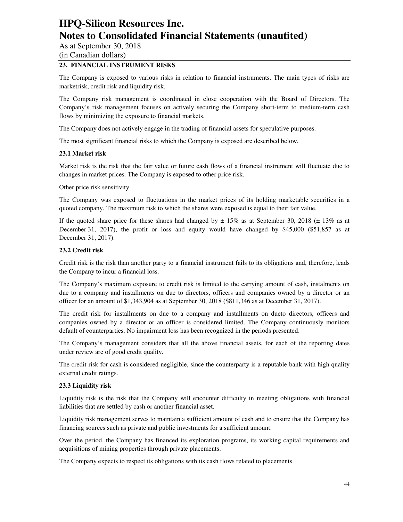As at September 30, 2018

(in Canadian dollars)

### **23. FINANCIAL INSTRUMENT RISKS**

The Company is exposed to various risks in relation to financial instruments. The main types of risks are marketrisk, credit risk and liquidity risk.

The Company risk management is coordinated in close cooperation with the Board of Directors. The Company's risk management focuses on actively securing the Company short-term to medium-term cash flows by minimizing the exposure to financial markets.

The Company does not actively engage in the trading of financial assets for speculative purposes.

The most significant financial risks to which the Company is exposed are described below.

#### **23.1 Market risk**

Market risk is the risk that the fair value or future cash flows of a financial instrument will fluctuate due to changes in market prices. The Company is exposed to other price risk.

Other price risk sensitivity

The Company was exposed to fluctuations in the market prices of its holding marketable securities in a quoted company. The maximum risk to which the shares were exposed is equal to their fair value.

If the quoted share price for these shares had changed by  $\pm 15\%$  as at September 30, 2018 ( $\pm 13\%$  as at December 31, 2017), the profit or loss and equity would have changed by \$45,000 (\$51,857 as at December 31, 2017).

#### **23.2 Credit risk**

Credit risk is the risk than another party to a financial instrument fails to its obligations and, therefore, leads the Company to incur a financial loss.

The Company's maximum exposure to credit risk is limited to the carrying amount of cash, instalments on due to a company and installments on due to directors, officers and companies owned by a director or an officer for an amount of \$1,343,904 as at September 30, 2018 (\$811,346 as at December 31, 2017).

The credit risk for installments on due to a company and installments on dueto directors, officers and companies owned by a director or an officer is considered limited. The Company continuously monitors default of counterparties. No impairment loss has been recognized in the periods presented.

The Company's management considers that all the above financial assets, for each of the reporting dates under review are of good credit quality.

The credit risk for cash is considered negligible, since the counterparty is a reputable bank with high quality external credit ratings.

#### **23.3 Liquidity risk**

Liquidity risk is the risk that the Company will encounter difficulty in meeting obligations with financial liabilities that are settled by cash or another financial asset.

Liquidity risk management serves to maintain a sufficient amount of cash and to ensure that the Company has financing sources such as private and public investments for a sufficient amount.

Over the period, the Company has financed its exploration programs, its working capital requirements and acquisitions of mining properties through private placements.

The Company expects to respect its obligations with its cash flows related to placements.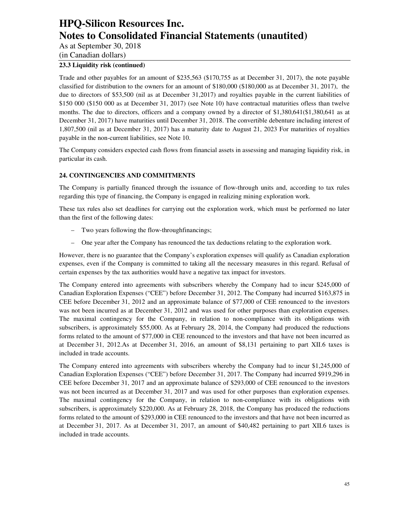As at September 30, 2018

(in Canadian dollars)

### **23.3 Liquidity risk (continued)**

Trade and other payables for an amount of \$235,563 (\$170,755 as at December 31, 2017), the note payable classified for distribution to the owners for an amount of \$180,000 (\$180,000 as at December 31, 2017), the due to directors of \$53,500 (nil as at December 31,2017) and royalties payable in the current liabilities of \$150 000 (\$150 000 as at December 31, 2017) (see Note 10) have contractual maturities ofless than twelve months. The due to directors, officers and a company owned by a director of \$1,380,641(\$1,380,641 as at December 31, 2017) have maturities until December 31, 2018. The convertible debenture including interest of 1,807,500 (nil as at December 31, 2017) has a maturity date to August 21, 2023 For maturities of royalties payable in the non-current liabilities, see Note 10.

The Company considers expected cash flows from financial assets in assessing and managing liquidity risk, in particular its cash.

### **24. CONTINGENCIES AND COMMITMENTS**

The Company is partially financed through the issuance of flow-through units and, according to tax rules regarding this type of financing, the Company is engaged in realizing mining exploration work.

These tax rules also set deadlines for carrying out the exploration work, which must be performed no later than the first of the following dates:

- Two years following the flow-throughfinancings;
- One year after the Company has renounced the tax deductions relating to the exploration work.

However, there is no guarantee that the Company's exploration expenses will qualify as Canadian exploration expenses, even if the Company is committed to taking all the necessary measures in this regard. Refusal of certain expenses by the tax authorities would have a negative tax impact for investors.

The Company entered into agreements with subscribers whereby the Company had to incur \$245,000 of Canadian Exploration Expenses ("CEE") before December 31, 2012. The Company had incurred \$163,875 in CEE before December 31, 2012 and an approximate balance of \$77,000 of CEE renounced to the investors was not been incurred as at December 31, 2012 and was used for other purposes than exploration expenses. The maximal contingency for the Company, in relation to non-compliance with its obligations with subscribers, is approximately \$55,000. As at February 28, 2014, the Company had produced the reductions forms related to the amount of \$77,000 in CEE renounced to the investors and that have not been incurred as at December 31, 2012.As at December 31, 2016, an amount of \$8,131 pertaining to part XII.6 taxes is included in trade accounts.

The Company entered into agreements with subscribers whereby the Company had to incur \$1,245,000 of Canadian Exploration Expenses ("CEE") before December 31, 2017. The Company had incurred \$919,296 in CEE before December 31, 2017 and an approximate balance of \$293,000 of CEE renounced to the investors was not been incurred as at December 31, 2017 and was used for other purposes than exploration expenses. The maximal contingency for the Company, in relation to non-compliance with its obligations with subscribers, is approximately \$220,000. As at February 28, 2018, the Company has produced the reductions forms related to the amount of \$293,000 in CEE renounced to the investors and that have not been incurred as at December 31, 2017. As at December 31, 2017, an amount of \$40,482 pertaining to part XII.6 taxes is included in trade accounts.